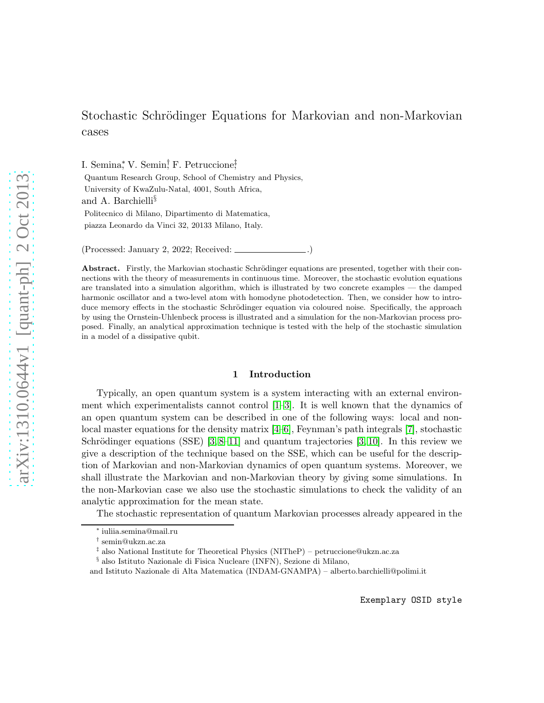# Stochastic Schrödinger Equations for Markovian and non-Markovian cases

I. Semina,<sup>\*</sup> V. Semin,<sup>†</sup> F. Petruccione<del>,</del>†

Quantum Research Group, School of Chemistry and Physics, University of KwaZulu-Natal, 4001, South Africa, and A. Barchielli§ Politecnico di Milano, Dipartimento di Matematica, piazza Leonardo da Vinci 32, 20133 Milano, Italy.

(Processed: January 2, 2022; Received:  $\overline{\phantom{a}}$ 

Abstract. Firstly, the Markovian stochastic Schrödinger equations are presented, together with their connections with the theory of measurements in continuous time. Moreover, the stochastic evolution equations are translated into a simulation algorithm, which is illustrated by two concrete examples — the damped harmonic oscillator and a two-level atom with homodyne photodetection. Then, we consider how to introduce memory effects in the stochastic Schrödinger equation via coloured noise. Specifically, the approach by using the Ornstein-Uhlenbeck process is illustrated and a simulation for the non-Markovian process proposed. Finally, an analytical approximation technique is tested with the help of the stochastic simulation in a model of a dissipative qubit.

## 1 Introduction

Typically, an open quantum system is a system interacting with an external environment which experimentalists cannot control  $[1-3]$ . It is well known that the dynamics of an open quantum system can be described in one of the following ways: local and nonlocal master equations for the density matrix [\[4–](#page-25-2)[6\]](#page-25-3), Feynman's path integrals [\[7\]](#page-25-4), stochastic Schrödinger equations (SSE) [\[3,](#page-25-1) [8](#page-25-5)[–11\]](#page-25-6) and quantum trajectories [3, [10\]](#page-25-7). In this review we give a description of the technique based on the SSE, which can be useful for the description of Markovian and non-Markovian dynamics of open quantum systems. Moreover, we shall illustrate the Markovian and non-Markovian theory by giving some simulations. In the non-Markovian case we also use the stochastic simulations to check the validity of an analytic approximation for the mean state.

The stochastic representation of quantum Markovian processes already appeared in the

<sup>∗</sup> iuliia.semina@mail.ru

<sup>†</sup> semin@ukzn.ac.za

<sup>‡</sup> also National Institute for Theoretical Physics (NITheP) – petruccione@ukzn.ac.za

 $\S$ also Istituto Nazionale di Fisica Nucleare (INFN), Sezione di Milano,

and Istituto Nazionale di Alta Matematica (INDAM-GNAMPA) – alberto.barchielli@polimi.it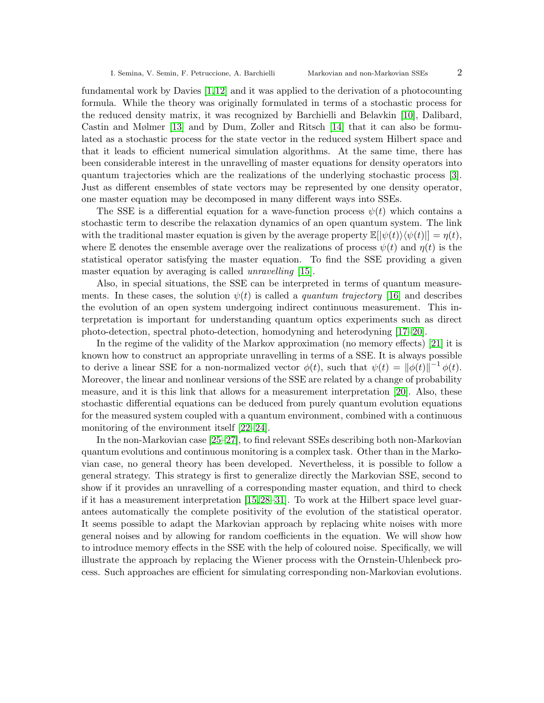fundamental work by Davies [\[1,](#page-25-0)[12\]](#page-25-8) and it was applied to the derivation of a photocounting formula. While the theory was originally formulated in terms of a stochastic process for the reduced density matrix, it was recognized by Barchielli and Belavkin [\[10\]](#page-25-7), Dalibard, Castin and Mølmer [\[13\]](#page-25-9) and by Dum, Zoller and Ritsch [\[14\]](#page-26-0) that it can also be formulated as a stochastic process for the state vector in the reduced system Hilbert space and that it leads to efficient numerical simulation algorithms. At the same time, there has been considerable interest in the unravelling of master equations for density operators into quantum trajectories which are the realizations of the underlying stochastic process [\[3\]](#page-25-1). Just as different ensembles of state vectors may be represented by one density operator, one master equation may be decomposed in many different ways into SSEs.

The SSE is a differential equation for a wave-function process  $\psi(t)$  which contains a stochastic term to describe the relaxation dynamics of an open quantum system. The link with the traditional master equation is given by the average property  $\mathbb{E}[|\psi(t)\rangle\langle\psi(t)|] = \eta(t)$ , where E denotes the ensemble average over the realizations of process  $\psi(t)$  and  $\eta(t)$  is the statistical operator satisfying the master equation. To find the SSE providing a given master equation by averaging is called *unravelling* [\[15\]](#page-26-1).

Also, in special situations, the SSE can be interpreted in terms of quantum measurements. In these cases, the solution  $\psi(t)$  is called a *quantum trajectory* [\[16\]](#page-26-2) and describes the evolution of an open system undergoing indirect continuous measurement. This interpretation is important for understanding quantum optics experiments such as direct photo-detection, spectral photo-detection, homodyning and heterodyning [\[17](#page-26-3)[–20\]](#page-26-4).

In the regime of the validity of the Markov approximation (no memory effects) [\[21\]](#page-26-5) it is known how to construct an appropriate unravelling in terms of a SSE. It is always possible to derive a linear SSE for a non-normalized vector  $\phi(t)$ , such that  $\psi(t) = ||\phi(t)||^{-1} \phi(t)$ . Moreover, the linear and nonlinear versions of the SSE are related by a change of probability measure, and it is this link that allows for a measurement interpretation [\[20\]](#page-26-4). Also, these stochastic differential equations can be deduced from purely quantum evolution equations for the measured system coupled with a quantum environment, combined with a continuous monitoring of the environment itself [\[22](#page-26-6)[–24\]](#page-26-7).

In the non-Markovian case [\[25](#page-26-8)[–27\]](#page-26-9), to find relevant SSEs describing both non-Markovian quantum evolutions and continuous monitoring is a complex task. Other than in the Markovian case, no general theory has been developed. Nevertheless, it is possible to follow a general strategy. This strategy is first to generalize directly the Markovian SSE, second to show if it provides an unravelling of a corresponding master equation, and third to check if it has a measurement interpretation [\[15,](#page-26-1)[28–](#page-26-10)[31\]](#page-26-11). To work at the Hilbert space level guarantees automatically the complete positivity of the evolution of the statistical operator. It seems possible to adapt the Markovian approach by replacing white noises with more general noises and by allowing for random coefficients in the equation. We will show how to introduce memory effects in the SSE with the help of coloured noise. Specifically, we will illustrate the approach by replacing the Wiener process with the Ornstein-Uhlenbeck process. Such approaches are efficient for simulating corresponding non-Markovian evolutions.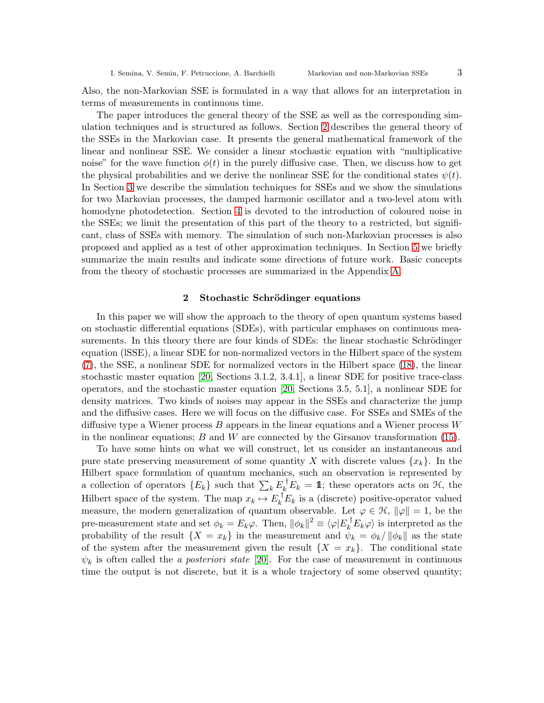Also, the non-Markovian SSE is formulated in a way that allows for an interpretation in terms of measurements in continuous time.

The paper introduces the general theory of the SSE as well as the corresponding simulation techniques and is structured as follows. Section [2](#page-2-0) describes the general theory of the SSEs in the Markovian case. It presents the general mathematical framework of the linear and nonlinear SSE. We consider a linear stochastic equation with "multiplicative noise" for the wave function  $\phi(t)$  in the purely diffusive case. Then, we discuss how to get the physical probabilities and we derive the nonlinear SSE for the conditional states  $\psi(t)$ . In Section [3](#page-8-0) we describe the simulation techniques for SSEs and we show the simulations for two Markovian processes, the damped harmonic oscillator and a two-level atom with homodyne photodetection. Section [4](#page-15-0) is devoted to the introduction of coloured noise in the SSEs; we limit the presentation of this part of the theory to a restricted, but significant, class of SSEs with memory. The simulation of such non-Markovian processes is also proposed and applied as a test of other approximation techniques. In Section [5](#page-21-0) we briefly summarize the main results and indicate some directions of future work. Basic concepts from the theory of stochastic processes are summarized in the Appendix [A.](#page-23-0)

# 2 Stochastic Schrödinger equations

<span id="page-2-0"></span>In this paper we will show the approach to the theory of open quantum systems based on stochastic differential equations (SDEs), with particular emphases on continuous measurements. In this theory there are four kinds of SDEs: the linear stochastic Schrödinger equation (lSSE), a linear SDE for non-normalized vectors in the Hilbert space of the system [\(7\)](#page-4-0), the SSE, a nonlinear SDE for normalized vectors in the Hilbert space [\(18\)](#page-7-0), the linear stochastic master equation [\[20,](#page-26-4) Sections 3.1.2, 3.4.1], a linear SDE for positive trace-class operators, and the stochastic master equation [\[20,](#page-26-4) Sections 3.5, 5.1], a nonlinear SDE for density matrices. Two kinds of noises may appear in the SSEs and characterize the jump and the diffusive cases. Here we will focus on the diffusive case. For SSEs and SMEs of the diffusive type a Wiener process  $B$  appears in the linear equations and a Wiener process  $W$ in the nonlinear equations;  $B$  and  $W$  are connected by the Girsanov transformation [\(15\)](#page-6-0).

To have some hints on what we will construct, let us consider an instantaneous and pure state preserving measurement of some quantity X with discrete values  $\{x_k\}$ . In the Hilbert space formulation of quantum mechanics, such an observation is represented by a collection of operators  ${E_k}$  such that  $\sum_k E_k^{\dagger} E_k = 1$ ; these operators acts on  $H$ , the Hilbert space of the system. The map  $x_k \mapsto E_k^{\top} E_k$  is a (discrete) positive-operator valued measure, the modern generalization of quantum observable. Let  $\varphi \in \mathcal{H}$ ,  $\|\varphi\| = 1$ , be the pre-measurement state and set  $\phi_k = E_k \varphi$ . Then,  $\|\phi_k\|^2 \equiv \langle \varphi | E_k^{\dagger} E_k \varphi \rangle$  is interpreted as the probability of the result  $\{X = x_k\}$  in the measurement and  $\psi_k = \phi_k / ||\phi_k||$  as the state of the system after the measurement given the result  $\{X = x_k\}$ . The conditional state  $\psi_k$  is often called the *a posteriori state* [\[20\]](#page-26-4). For the case of measurement in continuous time the output is not discrete, but it is a whole trajectory of some observed quantity;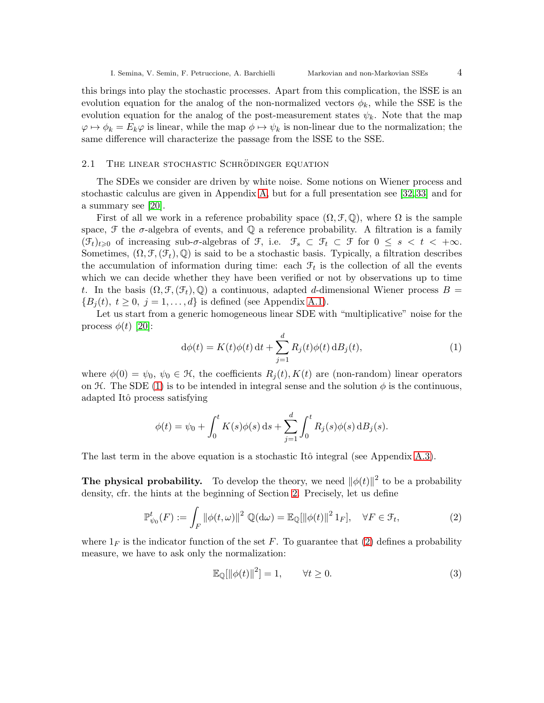this brings into play the stochastic processes. Apart from this complication, the lSSE is an evolution equation for the analog of the non-normalized vectors  $\phi_k$ , while the SSE is the evolution equation for the analog of the post-measurement states  $\psi_k$ . Note that the map  $\varphi \mapsto \phi_k = E_k \varphi$  is linear, while the map  $\phi \mapsto \psi_k$  is non-linear due to the normalization; the same difference will characterize the passage from the lSSE to the SSE.

## <span id="page-3-2"></span>2.1 THE LINEAR STOCHASTIC SCHRÖDINGER EQUATION

The SDEs we consider are driven by white noise. Some notions on Wiener process and stochastic calculus are given in Appendix [A,](#page-23-0) but for a full presentation see [\[32,](#page-26-12) [33\]](#page-26-13) and for a summary see [\[20\]](#page-26-4).

First of all we work in a reference probability space  $(\Omega, \mathcal{F}, \mathbb{Q})$ , where  $\Omega$  is the sample space,  $\mathcal F$  the  $\sigma$ -algebra of events, and  $\mathbb Q$  a reference probability. A filtration is a family  $(\mathcal{F}_t)_{t\geqslant0}$  of increasing sub- $\sigma$ -algebras of  $\mathcal{F}_t$ , i.e.  $\mathcal{F}_s \subset \mathcal{F}_t \subset \mathcal{F}$  for  $0 \leq s < t < +\infty$ . Sometimes,  $(\Omega, \mathcal{F}, (\mathcal{F}_t), \mathbb{Q})$  is said to be a stochastic basis. Typically, a filtration describes the accumulation of information during time: each  $\mathcal{F}_t$  is the collection of all the events which we can decide whether they have been verified or not by observations up to time t. In the basis  $(\Omega, \mathcal{F}, (\mathcal{F}_t), \mathbb{Q})$  a continuous, adapted d-dimensional Wiener process  $B =$  ${B_i(t), t \geq 0, j = 1, \ldots, d}$  is defined (see Appendix [A.1\)](#page-23-1).

Let us start from a generic homogeneous linear SDE with "multiplicative" noise for the process  $\phi(t)$  [\[20\]](#page-26-4):

<span id="page-3-0"></span>
$$
\mathrm{d}\phi(t) = K(t)\phi(t)\,\mathrm{d}t + \sum_{j=1}^{d} R_j(t)\phi(t)\,\mathrm{d}B_j(t),\tag{1}
$$

where  $\phi(0) = \psi_0, \psi_0 \in \mathcal{H}$ , the coefficients  $R_j(t), K(t)$  are (non-random) linear operators on H. The SDE [\(1\)](#page-3-0) is to be intended in integral sense and the solution  $\phi$  is the continuous, adapted Itô process satisfying

$$
\phi(t) = \psi_0 + \int_0^t K(s)\phi(s) \,ds + \sum_{j=1}^d \int_0^t R_j(s)\phi(s) \,dB_j(s).
$$

The last term in the above equation is a stochastic Itô integral (see Appendix  $A.3$ ).

**The physical probability.** To develop the theory, we need  $\|\phi(t)\|^2$  to be a probability density, cfr. the hints at the beginning of Section [2.](#page-2-0) Precisely, let us define

<span id="page-3-1"></span>
$$
\mathbb{P}_{\psi_0}^t(F) := \int_F \|\phi(t,\omega)\|^2 \mathbb{Q}(\mathrm{d}\omega) = \mathbb{E}_{\mathbb{Q}}[\|\phi(t)\|^2 1_F], \quad \forall F \in \mathcal{F}_t,
$$
\n(2)

where  $1_F$  is the indicator function of the set F. To guarantee that [\(2\)](#page-3-1) defines a probability measure, we have to ask only the normalization:

$$
\mathbb{E}_{\mathbb{Q}}[\|\phi(t)\|^2] = 1, \qquad \forall t \ge 0. \tag{3}
$$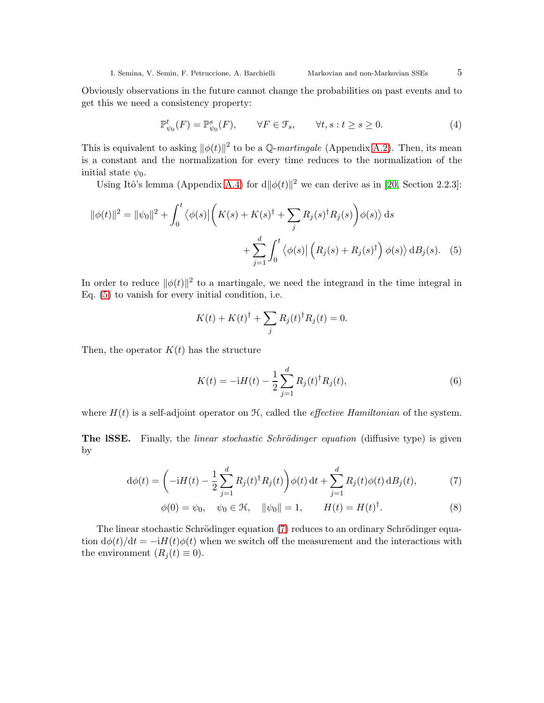<span id="page-4-1"></span>

Obviously observations in the future cannot change the probabilities on past events and to get this we need a consistency property:

<span id="page-4-2"></span>
$$
\mathbb{P}_{\psi_0}^t(F) = \mathbb{P}_{\psi_0}^s(F), \qquad \forall F \in \mathcal{F}_s, \qquad \forall t, s : t \ge s \ge 0.
$$
 (4)

This is equivalent to asking  $\|\phi(t)\|^2$  to be a Q-martingale (Appendix [A.2\)](#page-23-3). Then, its mean is a constant and the normalization for every time reduces to the normalization of the initial state  $\psi_0$ .

Using Itô's lemma (Appendix [A.4\)](#page-24-0) for  $d\|\phi(t)\|^2$  we can derive as in [\[20,](#page-26-4) Section 2.2.3]:

$$
\|\phi(t)\|^2 = \|\psi_0\|^2 + \int_0^t \langle \phi(s) | \left( K(s) + K(s)^\dagger + \sum_j R_j(s)^\dagger R_j(s) \right) \phi(s) \rangle ds
$$
  
+ 
$$
\sum_{j=1}^d \int_0^t \langle \phi(s) | \left( R_j(s) + R_j(s)^\dagger \right) \phi(s) \rangle d B_j(s). \quad (5)
$$

In order to reduce  $\|\phi(t)\|^2$  to a martingale, we need the integrand in the time integral in Eq. [\(5\)](#page-4-1) to vanish for every initial condition, i.e.

$$
K(t) + K(t)^{\dagger} + \sum_{j} R_j(t)^{\dagger} R_j(t) = 0.
$$

Then, the operator  $K(t)$  has the structure

<span id="page-4-3"></span><span id="page-4-0"></span>
$$
K(t) = -iH(t) - \frac{1}{2} \sum_{j=1}^{d} R_j(t)^{\dagger} R_j(t),
$$
\n(6)

where  $H(t)$  is a self-adjoint operator on  $\mathcal{H}$ , called the *effective Hamiltonian* of the system.

The ISSE. Finally, the *linear stochastic Schrödinger equation* (diffusive type) is given by

$$
d\phi(t) = \left(-iH(t) - \frac{1}{2}\sum_{j=1}^{d} R_j(t)^{\dagger} R_j(t)\right)\phi(t) dt + \sum_{j=1}^{d} R_j(t)\phi(t) dB_j(t),\tag{7}
$$

$$
\phi(0) = \psi_0, \quad \psi_0 \in \mathcal{H}, \quad ||\psi_0|| = 1, \qquad H(t) = H(t)^{\dagger}.
$$
\n(8)

The linear stochastic Schrödinger equation [\(7\)](#page-4-0) reduces to an ordinary Schrödinger equation  $d\phi(t)/dt = -iH(t)\phi(t)$  when we switch off the measurement and the interactions with the environment  $(R_i(t) \equiv 0)$ .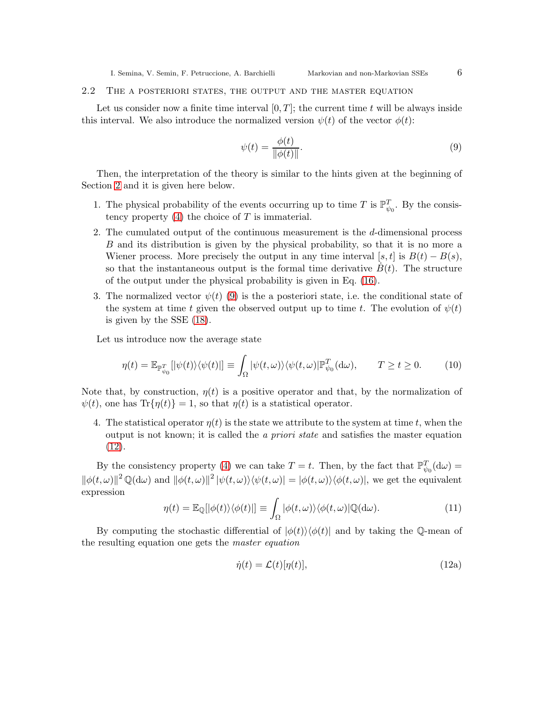## 2.2 The a posteriori states, the output and the master equation

Let us consider now a finite time interval  $[0, T]$ ; the current time t will be always inside this interval. We also introduce the normalized version  $\psi(t)$  of the vector  $\phi(t)$ :

<span id="page-5-0"></span>
$$
\psi(t) = \frac{\phi(t)}{\|\phi(t)\|}.\tag{9}
$$

Then, the interpretation of the theory is similar to the hints given at the beginning of Section [2](#page-2-0) and it is given here below.

- 1. The physical probability of the events occurring up to time T is  $\mathbb{P}_{\psi_0}^T$ . By the consistency property  $(4)$  the choice of T is immaterial.
- 2. The cumulated output of the continuous measurement is the d-dimensional process B and its distribution is given by the physical probability, so that it is no more a Wiener process. More precisely the output in any time interval [s, t] is  $B(t) - B(s)$ , so that the instantaneous output is the formal time derivative  $B(t)$ . The structure of the output under the physical probability is given in Eq. [\(16\)](#page-6-1).
- 3. The normalized vector  $\psi(t)$  [\(9\)](#page-5-0) is the a posteriori state, i.e. the conditional state of the system at time t given the observed output up to time t. The evolution of  $\psi(t)$ is given by the SSE [\(18\)](#page-7-0).

Let us introduce now the average state

<span id="page-5-2"></span>
$$
\eta(t) = \mathbb{E}_{\mathbb{P}_{\psi_0}^T} [|\psi(t)\rangle \langle \psi(t)|] \equiv \int_{\Omega} |\psi(t,\omega)\rangle \langle \psi(t,\omega)| \mathbb{P}_{\psi_0}^T(\mathrm{d}\omega), \qquad T \ge t \ge 0. \tag{10}
$$

Note that, by construction,  $\eta(t)$  is a positive operator and that, by the normalization of  $\psi(t)$ , one has  $\text{Tr}\{\eta(t)\}=1$ , so that  $\eta(t)$  is a statistical operator.

4. The statistical operator  $\eta(t)$  is the state we attribute to the system at time t, when the output is not known; it is called the a priori state and satisfies the master equation [\(12\)](#page-5-1).

By the consistency property [\(4\)](#page-4-2) we can take  $T = t$ . Then, by the fact that  $\mathbb{P}_{\psi_0}^T(\mathrm{d}\omega) =$  $\|\phi(t,\omega)\|^{2} \mathbb{Q}(\mathrm{d}\omega)$  and  $\|\phi(t,\omega)\|^{2} |\psi(t,\omega)\rangle\langle\psi(t,\omega)| = |\phi(t,\omega)\rangle\langle\phi(t,\omega)|$ , we get the equivalent expression

$$
\eta(t) = \mathbb{E}_{\mathbb{Q}}[|\phi(t)\rangle\langle\phi(t)|] \equiv \int_{\Omega} |\phi(t,\omega)\rangle\langle\phi(t,\omega)|\mathbb{Q}(\mathrm{d}\omega). \tag{11}
$$

By computing the stochastic differential of  $|\phi(t)\rangle\langle\phi(t)|$  and by taking the Q-mean of the resulting equation one gets the master equation

<span id="page-5-1"></span>
$$
\dot{\eta}(t) = \mathcal{L}(t)[\eta(t)],\tag{12a}
$$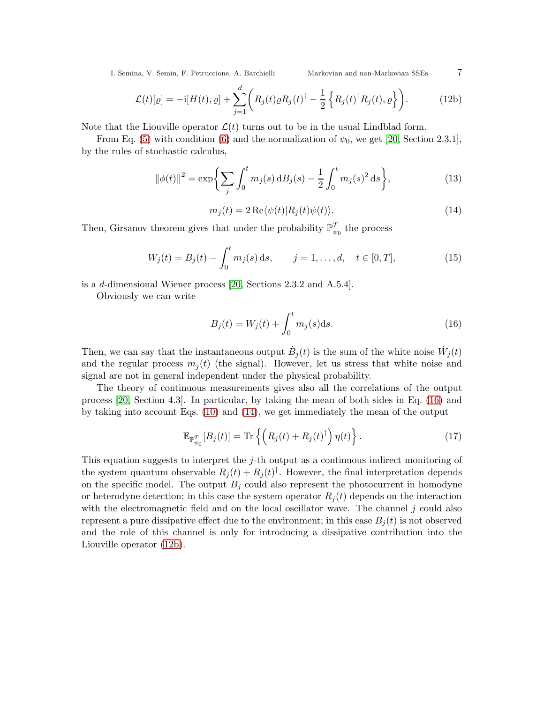<span id="page-6-3"></span>
$$
\mathcal{L}(t)[\varrho] = -\mathrm{i}[H(t), \varrho] + \sum_{j=1}^{d} \left( R_j(t)\varrho R_j(t)^{\dagger} - \frac{1}{2} \left\{ R_j(t)^{\dagger} R_j(t), \varrho \right\} \right). \tag{12b}
$$

Note that the Liouville operator  $\mathcal{L}(t)$  turns out to be in the usual Lindblad form.

From Eq. [\(5\)](#page-4-1) with condition [\(6\)](#page-4-3) and the normalization of  $\psi_0$ , we get [\[20,](#page-26-4) Section 2.3.1], by the rules of stochastic calculus,

<span id="page-6-5"></span>
$$
\|\phi(t)\|^2 = \exp\bigg\{\sum_j \int_0^t m_j(s) \, \mathrm{d}B_j(s) - \frac{1}{2} \int_0^t m_j(s)^2 \, \mathrm{d}s\bigg\},\tag{13}
$$

<span id="page-6-2"></span>
$$
m_j(t) = 2\operatorname{Re}\langle\psi(t)|R_j(t)\psi(t)\rangle.
$$
 (14)

Then, Girsanov theorem gives that under the probability  $\mathbb{P}^T_{\psi_0}$  the process

<span id="page-6-0"></span>
$$
W_j(t) = B_j(t) - \int_0^t m_j(s) \, ds, \qquad j = 1, \dots, d, \quad t \in [0, T], \tag{15}
$$

is a d-dimensional Wiener process [\[20,](#page-26-4) Sections 2.3.2 and A.5.4].

Obviously we can write

<span id="page-6-1"></span>
$$
B_j(t) = W_j(t) + \int_0^t m_j(s)ds.
$$
 (16)

Then, we can say that the instantaneous output  $\dot{B}_j(t)$  is the sum of the white noise  $\dot{W}_j(t)$ and the regular process  $m_i(t)$  (the signal). However, let us stress that white noise and signal are not in general independent under the physical probability.

The theory of continuous measurements gives also all the correlations of the output process [\[20,](#page-26-4) Section 4.3]. In particular, by taking the mean of both sides in Eq. [\(16\)](#page-6-1) and by taking into account Eqs. [\(10\)](#page-5-2) and [\(14\)](#page-6-2), we get immediately the mean of the output

<span id="page-6-4"></span>
$$
\mathbb{E}_{\mathbb{P}_{\psi_0}^T}[B_j(t)] = \text{Tr}\left\{ \left( R_j(t) + R_j(t)^{\dagger} \right) \eta(t) \right\}. \tag{17}
$$

This equation suggests to interpret the  $j$ -th output as a continuous indirect monitoring of the system quantum observable  $R_j(t) + R_j(t)^{\dagger}$ . However, the final interpretation depends on the specific model. The output  $B_j$  could also represent the photocurrent in homodyne or heterodyne detection; in this case the system operator  $R_i(t)$  depends on the interaction with the electromagnetic field and on the local oscillator wave. The channel  $j$  could also represent a pure dissipative effect due to the environment; in this case  $B_i(t)$  is not observed and the role of this channel is only for introducing a dissipative contribution into the Liouville operator [\(12b\)](#page-6-3).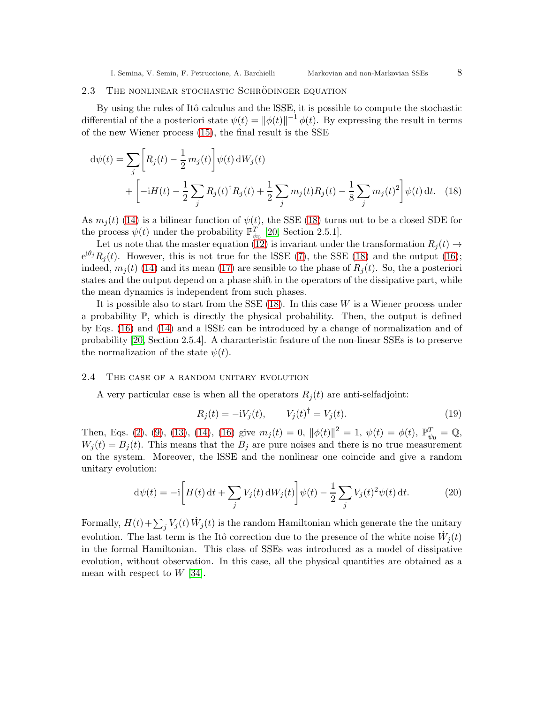#### <span id="page-7-1"></span>2.3 THE NONLINEAR STOCHASTIC SCHRODINGER EQUATION

By using the rules of Itô calculus and the ISSE, it is possible to compute the stochastic differential of the a posteriori state  $\psi(t) = ||\phi(t)||^{-1} \phi(t)$ . By expressing the result in terms of the new Wiener process [\(15\)](#page-6-0), the final result is the SSE

$$
d\psi(t) = \sum_{j} \left[ R_j(t) - \frac{1}{2} m_j(t) \right] \psi(t) dW_j(t)
$$
  
+ 
$$
\left[ -iH(t) - \frac{1}{2} \sum_{j} R_j(t)^{\dagger} R_j(t) + \frac{1}{2} \sum_{j} m_j(t) R_j(t) - \frac{1}{8} \sum_{j} m_j(t)^2 \right] \psi(t) dt.
$$
 (18)

As  $m_i(t)$  [\(14\)](#page-6-2) is a bilinear function of  $\psi(t)$ , the SSE [\(18\)](#page-7-0) turns out to be a closed SDE for the process  $\psi(t)$  under the probability  $\mathbb{P}_{\psi_0}^T$  [\[20,](#page-26-4) Section 2.5.1].

Let us note that the master equation [\(12\)](#page-5-1) is invariant under the transformation  $R_i(t) \rightarrow$  $e^{i\theta_j}R_j(t)$ . However, this is not true for the ISSE [\(7\)](#page-4-0), the SSE [\(18\)](#page-7-0) and the output [\(16\)](#page-6-1); indeed,  $m_i(t)$  [\(14\)](#page-6-2) and its mean [\(17\)](#page-6-4) are sensible to the phase of  $R_i(t)$ . So, the a posteriori states and the output depend on a phase shift in the operators of the dissipative part, while the mean dynamics is independent from such phases.

It is possible also to start from the SSE  $(18)$ . In this case W is a Wiener process under a probability  $\mathbb{P}$ , which is directly the physical probability. Then, the output is defined by Eqs. [\(16\)](#page-6-1) and [\(14\)](#page-6-2) and a lSSE can be introduced by a change of normalization and of probability [\[20,](#page-26-4) Section 2.5.4]. A characteristic feature of the non-linear SSEs is to preserve the normalization of the state  $\psi(t)$ .

## <span id="page-7-2"></span>2.4 The case of a random unitary evolution

A very particular case is when all the operators  $R_i(t)$  are anti-selfadjoint:

<span id="page-7-0"></span>
$$
R_j(t) = -iV_j(t), \t V_j(t)^{\dagger} = V_j(t). \t (19)
$$

Then, Eqs. [\(2\)](#page-3-1), [\(9\)](#page-5-0), [\(13\)](#page-6-5), [\(14\)](#page-6-2), [\(16\)](#page-6-1) give  $m_j(t) = 0$ ,  $\|\phi(t)\|^2 = 1$ ,  $\psi(t) = \phi(t)$ ,  $\mathbb{P}_{\psi_0}^T = \mathbb{Q}$ ,  $W_i(t) = B_i(t)$ . This means that the  $B_i$  are pure noises and there is no true measurement on the system. Moreover, the lSSE and the nonlinear one coincide and give a random unitary evolution:

<span id="page-7-3"></span>
$$
d\psi(t) = -i \left[ H(t) dt + \sum_{j} V_j(t) dW_j(t) \right] \psi(t) - \frac{1}{2} \sum_{j} V_j(t)^2 \psi(t) dt.
$$
 (20)

Formally,  $H(t) + \sum_j V_j(t) W_j(t)$  is the random Hamiltonian which generate the the unitary evolution. The last term is the Itô correction due to the presence of the white noise  $\dot{W}_j(t)$ in the formal Hamiltonian. This class of SSEs was introduced as a model of dissipative evolution, without observation. In this case, all the physical quantities are obtained as a mean with respect to  $W$  [\[34\]](#page-26-14).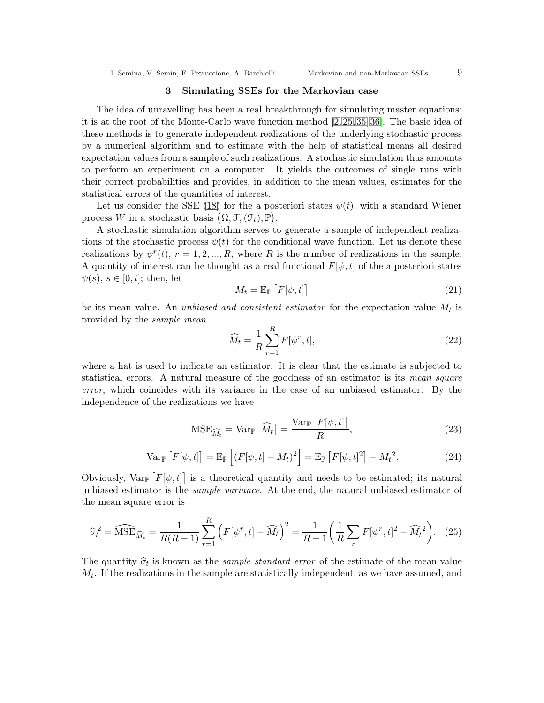## 3 Simulating SSEs for the Markovian case

<span id="page-8-0"></span>The idea of unravelling has been a real breakthrough for simulating master equations; it is at the root of the Monte-Carlo wave function method [\[2,](#page-25-10) [25,](#page-26-8) [35,](#page-26-15) [36\]](#page-26-16). The basic idea of these methods is to generate independent realizations of the underlying stochastic process by a numerical algorithm and to estimate with the help of statistical means all desired expectation values from a sample of such realizations. A stochastic simulation thus amounts to perform an experiment on a computer. It yields the outcomes of single runs with their correct probabilities and provides, in addition to the mean values, estimates for the statistical errors of the quantities of interest.

Let us consider the SSE [\(18\)](#page-7-0) for the a posteriori states  $\psi(t)$ , with a standard Wiener process W in a stochastic basis  $(0, \mathcal{F}, (\mathcal{F}_t), \mathbb{P})$ .

A stochastic simulation algorithm serves to generate a sample of independent realizations of the stochastic process  $\psi(t)$  for the conditional wave function. Let us denote these realizations by  $\psi^{r}(t)$ ,  $r = 1, 2, ..., R$ , where R is the number of realizations in the sample. A quantity of interest can be thought as a real functional  $F[\psi, t]$  of the a posteriori states  $\psi(s), s \in [0, t]$ ; then, let

<span id="page-8-1"></span>
$$
M_t = \mathbb{E}_{\mathbb{P}}\left[F[\psi, t]\right] \tag{21}
$$

be its mean value. An *unbiased and consistent estimator* for the expectation value  $M_t$  is provided by the sample mean

$$
\widehat{M}_t = \frac{1}{R} \sum_{r=1}^R F[\psi^r, t],\tag{22}
$$

where a hat is used to indicate an estimator. It is clear that the estimate is subjected to statistical errors. A natural measure of the goodness of an estimator is its mean square error, which coincides with its variance in the case of an unbiased estimator. By the independence of the realizations we have

$$
\text{MSE}_{\widehat{M}_t} = \text{Var}_{\mathbb{P}}\left[\widehat{M}_t\right] = \frac{\text{Var}_{\mathbb{P}}\left[F[\psi, t]\right]}{R},\tag{23}
$$

$$
\operatorname{Var}_{\mathbb{P}}\left[F[\psi,t]\right] = \mathbb{E}_{\mathbb{P}}\left[\left(F[\psi,t] - M_t\right)^2\right] = \mathbb{E}_{\mathbb{P}}\left[F[\psi,t]^2\right] - M_t^2. \tag{24}
$$

Obviously,  $Var_{\mathbb{P}}[F[\psi, t]]$  is a theoretical quantity and needs to be estimated; its natural unbiased estimator is the *sample variance*. At the end, the natural unbiased estimator of the mean square error is

$$
\widehat{\sigma}_t^2 = \widehat{\text{MSE}}_{\widehat{M}_t} = \frac{1}{R(R-1)} \sum_{r=1}^R \left( F[\psi^r, t] - \widehat{M}_t \right)^2 = \frac{1}{R-1} \left( \frac{1}{R} \sum_r F[\psi^r, t]^2 - \widehat{M}_t^2 \right). \tag{25}
$$

The quantity  $\hat{\sigma}_t$  is known as the *sample standard error* of the estimate of the mean value  $M_t$ . If the realizations in the sample are statistically independent, as we have assumed, and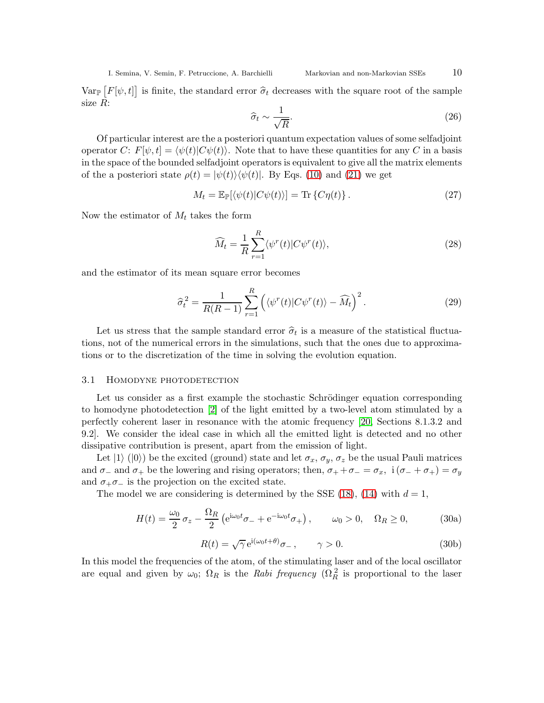$Var_{\mathbb{P}}[F[\psi, t]]$  is finite, the standard error  $\hat{\sigma}_t$  decreases with the square root of the sample size R:

$$
\hat{\sigma}_t \sim \frac{1}{\sqrt{R}}.\tag{26}
$$

Of particular interest are the a posteriori quantum expectation values of some selfadjoint operator C:  $F[\psi, t] = \langle \psi(t) | C\psi(t) \rangle$ . Note that to have these quantities for any C in a basis in the space of the bounded selfadjoint operators is equivalent to give all the matrix elements of the a posteriori state  $\rho(t) = |\psi(t)\rangle \langle \psi(t)|$ . By Eqs. [\(10\)](#page-5-2) and [\(21\)](#page-8-1) we get

$$
M_t = \mathbb{E}_{\mathbb{P}}[\langle \psi(t) | C\psi(t) \rangle] = \text{Tr}\left\{ C\eta(t) \right\}.
$$
 (27)

Now the estimator of  $M_t$  takes the form

$$
\widehat{M}_t = \frac{1}{R} \sum_{r=1}^R \langle \psi^r(t) | C \psi^r(t) \rangle, \tag{28}
$$

and the estimator of its mean square error becomes

$$
\widehat{\sigma}_t^2 = \frac{1}{R(R-1)} \sum_{r=1}^R \left( \langle \psi^r(t) | C \psi^r(t) \rangle - \widehat{M}_t \right)^2.
$$
 (29)

Let us stress that the sample standard error  $\hat{\sigma}_t$  is a measure of the statistical fluctuations, not of the numerical errors in the simulations, such that the ones due to approximations or to the discretization of the time in solving the evolution equation.

## <span id="page-9-1"></span>3.1 Homodyne photodetection

Let us consider as a first example the stochastic Schrödinger equation corresponding to homodyne photodetection [\[2\]](#page-25-10) of the light emitted by a two-level atom stimulated by a perfectly coherent laser in resonance with the atomic frequency [\[20,](#page-26-4) Sections 8.1.3.2 and 9.2]. We consider the ideal case in which all the emitted light is detected and no other dissipative contribution is present, apart from the emission of light.

Let  $|1\rangle$  ( $|0\rangle$ ) be the excited (ground) state and let  $\sigma_x$ ,  $\sigma_y$ ,  $\sigma_z$  be the usual Pauli matrices and  $\sigma_-\$  and  $\sigma_+$  be the lowering and rising operators; then,  $\sigma_+ + \sigma_- = \sigma_x$ , i $(\sigma_- + \sigma_+) = \sigma_y$ and  $\sigma_+ \sigma_-$  is the projection on the excited state.

The model we are considering is determined by the SSE [\(18\)](#page-7-0), [\(14\)](#page-6-2) with  $d=1$ ,

$$
H(t) = \frac{\omega_0}{2} \sigma_z - \frac{\Omega_R}{2} \left( e^{i\omega_0 t} \sigma_- + e^{-i\omega_0 t} \sigma_+ \right), \qquad \omega_0 > 0, \quad \Omega_R \ge 0,
$$
 (30a)

<span id="page-9-0"></span>
$$
R(t) = \sqrt{\gamma} e^{i(\omega_0 t + \theta)} \sigma_-, \qquad \gamma > 0.
$$
 (30b)

In this model the frequencies of the atom, of the stimulating laser and of the local oscillator are equal and given by  $\omega_0$ ;  $\Omega_R$  is the Rabi frequency  $(\Omega_R^2$  is proportional to the laser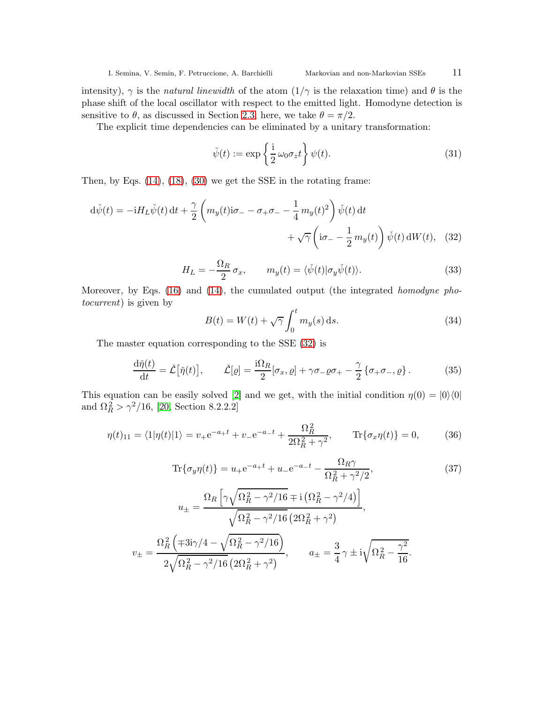intensity),  $\gamma$  is the *natural linewidth* of the atom  $(1/\gamma)$  is the relaxation time) and  $\theta$  is the phase shift of the local oscillator with respect to the emitted light. Homodyne detection is sensitive to  $\theta$ , as discussed in Section [2.3;](#page-7-1) here, we take  $\theta = \pi/2$ .

The explicit time dependencies can be eliminated by a unitary transformation:

<span id="page-10-0"></span>
$$
\check{\psi}(t) := \exp\left\{\frac{i}{2}\,\omega_0\sigma_z t\right\}\psi(t). \tag{31}
$$

Then, by Eqs. [\(14\)](#page-6-2), [\(18\)](#page-7-0), [\(30\)](#page-9-0) we get the SSE in the rotating frame:

$$
d\check{\psi}(t) = -iH_L\check{\psi}(t) dt + \frac{\gamma}{2} \left( m_y(t)i\sigma_- - \sigma_+\sigma_- - \frac{1}{4} m_y(t)^2 \right) \check{\psi}(t) dt
$$

$$
+ \sqrt{\gamma} \left( i\sigma_- - \frac{1}{2} m_y(t) \right) \check{\psi}(t) dW(t), \quad (32)
$$

$$
H_L = -\frac{\Omega_R}{2}\sigma_x, \qquad m_y(t) = \langle \check{\psi}(t) | \sigma_y \check{\psi}(t) \rangle.
$$
 (33)

Moreover, by Eqs. [\(16\)](#page-6-1) and [\(14\)](#page-6-2), the cumulated output (the integrated *homodyne pho*tocurrent) is given by

<span id="page-10-2"></span>
$$
B(t) = W(t) + \sqrt{\gamma} \int_0^t m_y(s) \, \mathrm{d}s. \tag{34}
$$

The master equation corresponding to the SSE [\(32\)](#page-10-0) is

$$
\frac{\mathrm{d}\check{\eta}(t)}{\mathrm{d}t} = \check{\mathcal{L}}\big[\check{\eta}(t)\big], \qquad \check{\mathcal{L}}[\varrho] = \frac{\mathrm{i}\Omega_R}{2}[\sigma_x, \varrho] + \gamma \sigma_- \varrho \sigma_+ - \frac{\gamma}{2} \{\sigma_+ \sigma_-, \varrho\} \,. \tag{35}
$$

This equation can be easily solved [\[2\]](#page-25-10) and we get, with the initial condition  $\eta(0) = |0\rangle\langle 0|$ and  $\Omega_R^2 > \gamma^2/16$ , [\[20,](#page-26-4) Section 8.2.2.2]

<span id="page-10-1"></span>
$$
\eta(t)_{11} = \langle 1|\eta(t)|1\rangle = v_+e^{-a_+t} + v_-e^{-a_-t} + \frac{\Omega_R^2}{2\Omega_R^2 + \gamma^2}, \qquad \text{Tr}\{\sigma_x\eta(t)\} = 0,\tag{36}
$$

<span id="page-10-3"></span>
$$
\text{Tr}\{\sigma_y \eta(t)\} = u_+ e^{-a_+ t} + u_- e^{-a_- t} - \frac{\Omega_R \gamma}{\Omega_R^2 + \gamma^2 / 2},\tag{37}
$$
\n
$$
u_{\pm} = \frac{\Omega_R \left[ \gamma \sqrt{\Omega_R^2 - \gamma^2 / 16} \mp i \left( \Omega_R^2 - \gamma^2 / 4 \right) \right]}{\sqrt{\Omega_R^2 - \gamma^2 / 16} \left( 2\Omega_R^2 + \gamma^2 \right)},
$$
\n
$$
v_{\pm} = \frac{\Omega_R^2 \left( \mp 3i\gamma / 4 - \sqrt{\Omega_R^2 - \gamma^2 / 16} \right)}{2\sqrt{\Omega_R^2 - \gamma^2 / 16} \left( 2\Omega_R^2 + \gamma^2 \right)}, \qquad a_{\pm} = \frac{3}{4} \gamma \pm i\sqrt{\Omega_R^2 - \frac{\gamma^2}{16}}.
$$
\n(37)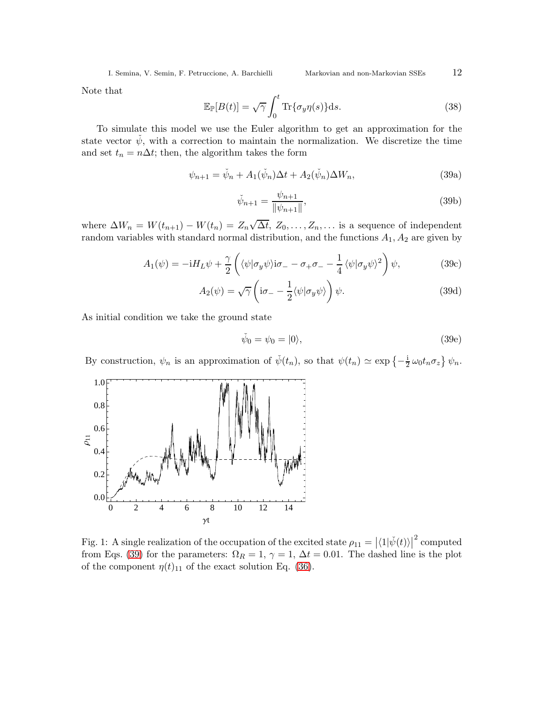<span id="page-11-0"></span>

Note that

<span id="page-11-2"></span>
$$
\mathbb{E}_{\mathbb{P}}[B(t)] = \sqrt{\gamma} \int_0^t \text{Tr}\{\sigma_y \eta(s)\} \text{d}s. \tag{38}
$$

To simulate this model we use the Euler algorithm to get an approximation for the state vector  $\dot{\psi}$ , with a correction to maintain the normalization. We discretize the time and set  $t_n = n\Delta t$ ; then, the algorithm takes the form

$$
\psi_{n+1} = \check{\psi}_n + A_1(\check{\psi}_n)\Delta t + A_2(\check{\psi}_n)\Delta W_n, \tag{39a}
$$

$$
\check{\psi}_{n+1} = \frac{\psi_{n+1}}{\|\psi_{n+1}\|},\tag{39b}
$$

where  $\Delta W_n = W(t_{n+1}) - W(t_n) = Z_n \sqrt{\Delta t}, Z_0, \ldots, Z_n, \ldots$  is a sequence of independent random variables with standard normal distribution, and the functions  $A_1, A_2$  are given by

$$
A_1(\psi) = -iH_L\psi + \frac{\gamma}{2} \left( \langle \psi | \sigma_y \psi \rangle i\sigma_- - \sigma_+ \sigma_- - \frac{1}{4} \langle \psi | \sigma_y \psi \rangle^2 \right) \psi, \tag{39c}
$$

$$
A_2(\psi) = \sqrt{\gamma} \left( i\sigma_- - \frac{1}{2} \langle \psi | \sigma_y \psi \rangle \right) \psi.
$$
 (39d)

As initial condition we take the ground state

$$
\tilde{\psi}_0 = \psi_0 = |0\rangle,\tag{39e}
$$

By construction,  $\psi_n$  is an approximation of  $\check{\psi}(t_n)$ , so that  $\psi(t_n) \simeq \exp \{-\frac{i}{2} \omega_0 t_n \sigma_z\} \psi_n$ .



<span id="page-11-1"></span>Fig. 1: A single realization of the occupation of the excited state  $\rho_{11} = |\langle 1 | \check{\psi}(t) \rangle|^2$  computed from Eqs. [\(39\)](#page-11-0) for the parameters:  $\Omega_R = 1$ ,  $\gamma = 1$ ,  $\Delta t = 0.01$ . The dashed line is the plot of the component  $\eta(t)_{11}$  of the exact solution Eq. [\(36\)](#page-10-1).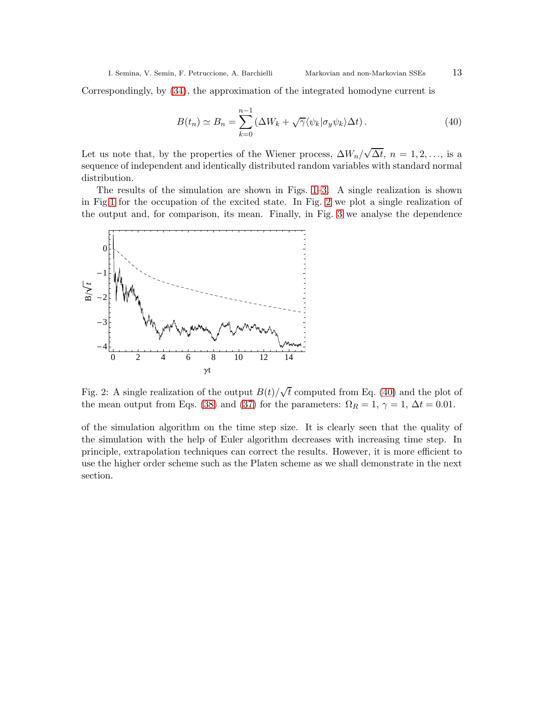Correspondingly, by [\(34\)](#page-10-2), the approximation of the integrated homodyne current is

<span id="page-12-1"></span>
$$
B(t_n) \simeq B_n = \sum_{k=0}^{n-1} \left( \Delta W_k + \sqrt{\gamma} \langle \psi_k | \sigma_y \psi_k \rangle \Delta t \right). \tag{40}
$$

Let us note that, by the properties of the Wiener process,  $\Delta W_n/\sqrt{\Delta t}$ ,  $n = 1, 2, \ldots$ , is a sequence of independent and identically distributed random variables with standard normal distribution.

The results of the simulation are shown in Figs. [1](#page-11-1)[–3.](#page-13-0) A single realization is shown in Fig[.1](#page-11-1) for the occupation of the excited state. In Fig. [2](#page-12-0) we plot a single realization of the output and, for comparison, its mean. Finally, in Fig. [3](#page-13-0) we analyse the dependence



<span id="page-12-0"></span>Fig. 2: A single realization of the output  $B(t)/\sqrt{t}$  computed from Eq. [\(40\)](#page-12-1) and the plot of the mean output from Eqs. [\(38\)](#page-11-2) and [\(37\)](#page-10-3) for the parameters:  $\Omega_R = 1, \gamma = 1, \Delta t = 0.01$ .

of the simulation algorithm on the time step size. It is clearly seen that the quality of the simulation with the help of Euler algorithm decreases with increasing time step. In principle, extrapolation techniques can correct the results. However, it is more efficient to use the higher order scheme such as the Platen scheme as we shall demonstrate in the next section.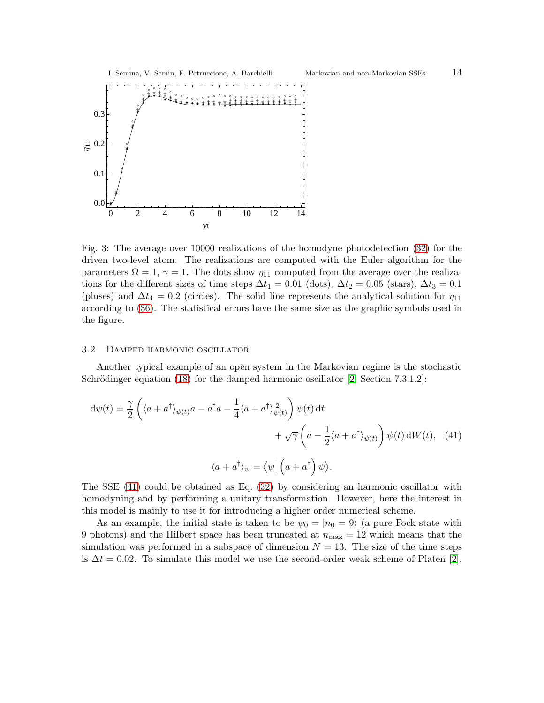

<span id="page-13-0"></span>Fig. 3: The average over 10000 realizations of the homodyne photodetection [\(32\)](#page-10-0) for the driven two-level atom. The realizations are computed with the Euler algorithm for the parameters  $\Omega = 1$ ,  $\gamma = 1$ . The dots show  $\eta_{11}$  computed from the average over the realizations for the different sizes of time steps  $\Delta t_1 = 0.01$  (dots),  $\Delta t_2 = 0.05$  (stars),  $\Delta t_3 = 0.1$ (pluses) and  $\Delta t_4 = 0.2$  (circles). The solid line represents the analytical solution for  $\eta_{11}$ according to [\(36\)](#page-10-1). The statistical errors have the same size as the graphic symbols used in the figure.

# 3.2 Damped harmonic oscillator

Another typical example of an open system in the Markovian regime is the stochastic Schrödinger equation  $(18)$  for the damped harmonic oscillator [\[2,](#page-25-10) Section 7.3.1.2]:

<span id="page-13-1"></span>
$$
d\psi(t) = \frac{\gamma}{2} \left( \langle a + a^{\dagger} \rangle_{\psi(t)} a - a^{\dagger} a - \frac{1}{4} \langle a + a^{\dagger} \rangle_{\psi(t)}^2 \right) \psi(t) dt + \sqrt{\gamma} \left( a - \frac{1}{2} \langle a + a^{\dagger} \rangle_{\psi(t)} \right) \psi(t) dW(t), \quad (41)
$$

$$
\langle a + a^{\dagger} \rangle_{\psi} = \langle \psi | \left( a + a^{\dagger} \right) \psi \rangle.
$$

The SSE [\(41\)](#page-13-1) could be obtained as Eq. [\(32\)](#page-10-0) by considering an harmonic oscillator with homodyning and by performing a unitary transformation. However, here the interest in this model is mainly to use it for introducing a higher order numerical scheme.

As an example, the initial state is taken to be  $\psi_0 = |n_0 = 9\rangle$  (a pure Fock state with 9 photons) and the Hilbert space has been truncated at  $n_{\text{max}} = 12$  which means that the simulation was performed in a subspace of dimension  $N = 13$ . The size of the time steps is  $\Delta t = 0.02$ . To simulate this model we use the second-order weak scheme of Platen [\[2\]](#page-25-10).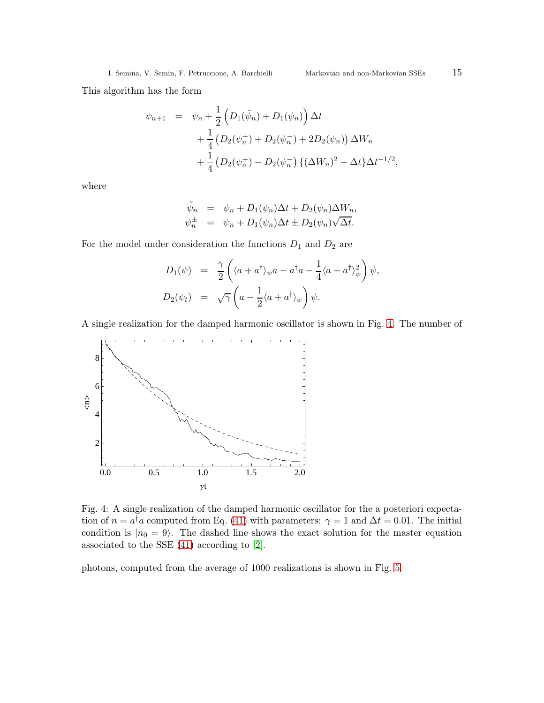This algorithm has the form

$$
\psi_{n+1} = \psi_n + \frac{1}{2} \left( D_1(\tilde{\psi}_n) + D_1(\psi_n) \right) \Delta t \n+ \frac{1}{4} \left( D_2(\psi_n^+) + D_2(\psi_n^-) + 2D_2(\psi_n) \right) \Delta W_n \n+ \frac{1}{4} \left( D_2(\psi_n^+) - D_2(\psi_n^-) \left\{ (\Delta W_n)^2 - \Delta t \right\} \Delta t^{-1/2},
$$

where

$$
\tilde{\psi}_n = \psi_n + D_1(\psi_n)\Delta t + D_2(\psi_n)\Delta W_n,
$$
  

$$
\psi_n^{\pm} = \psi_n + D_1(\psi_n)\Delta t \pm D_2(\psi_n)\sqrt{\Delta t}.
$$

For the model under consideration the functions  $D_1$  and  $D_2$  are

$$
D_1(\psi) = \frac{\gamma}{2} \left( \langle a + a^{\dagger} \rangle_{\psi} a - a^{\dagger} a - \frac{1}{4} \langle a + a^{\dagger} \rangle_{\psi}^2 \right) \psi,
$$
  

$$
D_2(\psi_t) = \sqrt{\gamma} \left( a - \frac{1}{2} \langle a + a^{\dagger} \rangle_{\psi} \right) \psi.
$$

A single realization for the damped harmonic oscillator is shown in Fig. [4.](#page-14-0) The number of



<span id="page-14-0"></span>Fig. 4: A single realization of the damped harmonic oscillator for the a posteriori expectation of  $n = a^{\dagger}a$  computed from Eq. [\(41\)](#page-13-1) with parameters:  $\gamma = 1$  and  $\Delta t = 0.01$ . The initial condition is  $|n_0 = 9\rangle$ . The dashed line shows the exact solution for the master equation associated to the SSE [\(41\)](#page-13-1) according to [\[2\]](#page-25-10).

photons, computed from the average of 1000 realizations is shown in Fig. [5.](#page-15-1)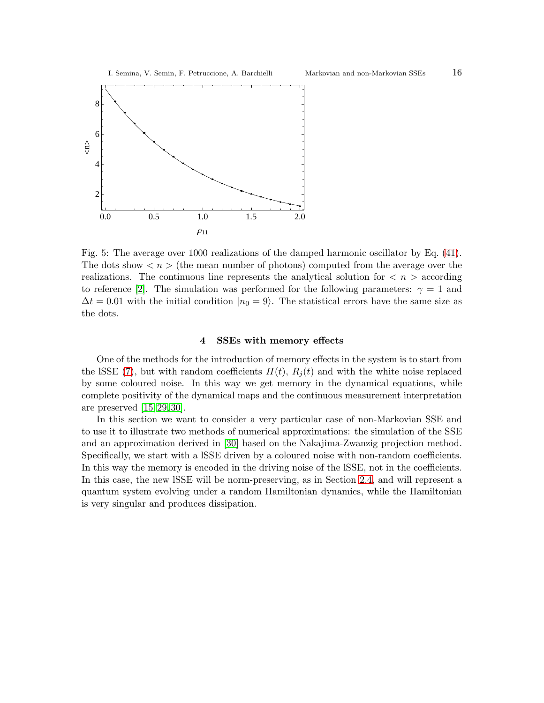

<span id="page-15-1"></span>Fig. 5: The average over 1000 realizations of the damped harmonic oscillator by Eq. [\(41\)](#page-13-1). The dots show  $\langle n \rangle$  (the mean number of photons) computed from the average over the realizations. The continuous line represents the analytical solution for  $\langle n \rangle$  according to reference [\[2\]](#page-25-10). The simulation was performed for the following parameters:  $\gamma = 1$  and  $\Delta t = 0.01$  with the initial condition  $|n_0 = 9\rangle$ . The statistical errors have the same size as the dots.

# 4 SSEs with memory effects

<span id="page-15-0"></span>One of the methods for the introduction of memory effects in the system is to start from the lSSE [\(7\)](#page-4-0), but with random coefficients  $H(t)$ ,  $R<sub>i</sub>(t)$  and with the white noise replaced by some coloured noise. In this way we get memory in the dynamical equations, while complete positivity of the dynamical maps and the continuous measurement interpretation are preserved [\[15,](#page-26-1) [29,](#page-26-17) [30\]](#page-26-18).

In this section we want to consider a very particular case of non-Markovian SSE and to use it to illustrate two methods of numerical approximations: the simulation of the SSE and an approximation derived in [\[30\]](#page-26-18) based on the Nakajima-Zwanzig projection method. Specifically, we start with a lSSE driven by a coloured noise with non-random coefficients. In this way the memory is encoded in the driving noise of the lSSE, not in the coefficients. In this case, the new lSSE will be norm-preserving, as in Section [2.4,](#page-7-2) and will represent a quantum system evolving under a random Hamiltonian dynamics, while the Hamiltonian is very singular and produces dissipation.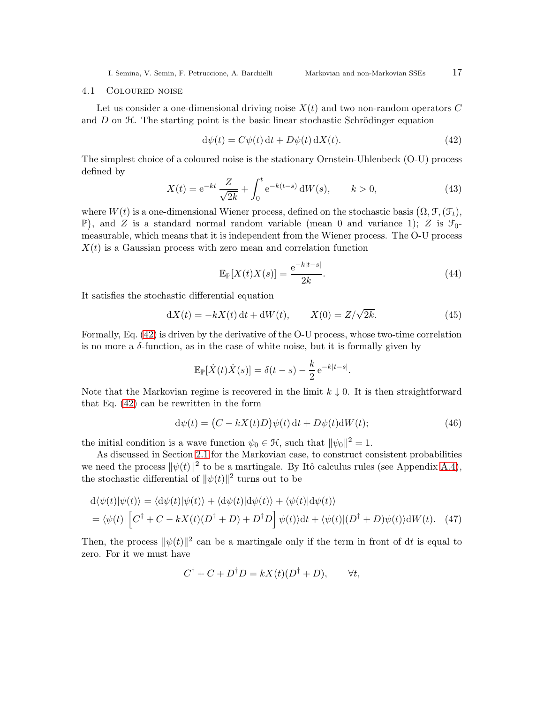#### <span id="page-16-2"></span>4.1 Coloured noise

Let us consider a one-dimensional driving noise  $X(t)$  and two non-random operators C and  $D$  on  $H$ . The starting point is the basic linear stochastic Schrödinger equation

<span id="page-16-0"></span>
$$
d\psi(t) = C\psi(t) dt + D\psi(t) dX(t).
$$
\n(42)

The simplest choice of a coloured noise is the stationary Ornstein-Uhlenbeck (O-U) process defined by

<span id="page-16-3"></span>
$$
X(t) = e^{-kt} \frac{Z}{\sqrt{2k}} + \int_0^t e^{-k(t-s)} dW(s), \qquad k > 0,
$$
\n(43)

where  $W(t)$  is a one-dimensional Wiener process, defined on the stochastic basis  $(\Omega, \mathcal{F}, (\mathcal{F}_t),$ P), and Z is a standard normal random variable (mean 0 and variance 1); Z is  $\mathcal{F}_0$ measurable, which means that it is independent from the Wiener process. The O-U process  $X(t)$  is a Gaussian process with zero mean and correlation function

$$
\mathbb{E}_{\mathbb{P}}[X(t)X(s)] = \frac{e^{-k|t-s|}}{2k}.
$$
\n(44)

.

It satisfies the stochastic differential equation

<span id="page-16-1"></span>
$$
dX(t) = -kX(t) dt + dW(t), \t X(0) = Z/\sqrt{2k}.
$$
\t(45)

Formally, Eq. [\(42\)](#page-16-0) is driven by the derivative of the O-U process, whose two-time correlation is no more a  $\delta$ -function, as in the case of white noise, but it is formally given by

$$
\mathbb{E}_{\mathbb{P}}[\dot{X}(t)\dot{X}(s)] = \delta(t-s) - \frac{k}{2} e^{-k|t-s|}
$$

Note that the Markovian regime is recovered in the limit  $k \downarrow 0$ . It is then straightforward that Eq. [\(42\)](#page-16-0) can be rewritten in the form

$$
d\psi(t) = (C - kX(t)D)\psi(t) dt + D\psi(t)dW(t); \qquad (46)
$$

the initial condition is a wave function  $\psi_0 \in \mathcal{H}$ , such that  $\|\psi_0\|^2 = 1$ .

As discussed in Section [2.1](#page-3-2) for the Markovian case, to construct consistent probabilities we need the process  $\|\psi(t)\|^2$  to be a martingale. By Itô calculus rules (see Appendix [A.4\)](#page-24-0), the stochastic differential of  $\|\psi(t)\|^2$  turns out to be

$$
d\langle \psi(t)|\psi(t)\rangle = \langle d\psi(t)|\psi(t)\rangle + \langle d\psi(t)|d\psi(t)\rangle + \langle \psi(t)|d\psi(t)\rangle
$$
  
=  $\langle \psi(t)| [C^{\dagger} + C - kX(t)(D^{\dagger} + D) + D^{\dagger}D] \psi(t)\rangle dt + \langle \psi(t)| (D^{\dagger} + D) \psi(t)\rangle dW(t).$  (47)

Then, the process  $\|\psi(t)\|^2$  can be a martingale only if the term in front of dt is equal to zero. For it we must have

$$
C^{\dagger} + C + D^{\dagger}D = kX(t)(D^{\dagger} + D), \qquad \forall t,
$$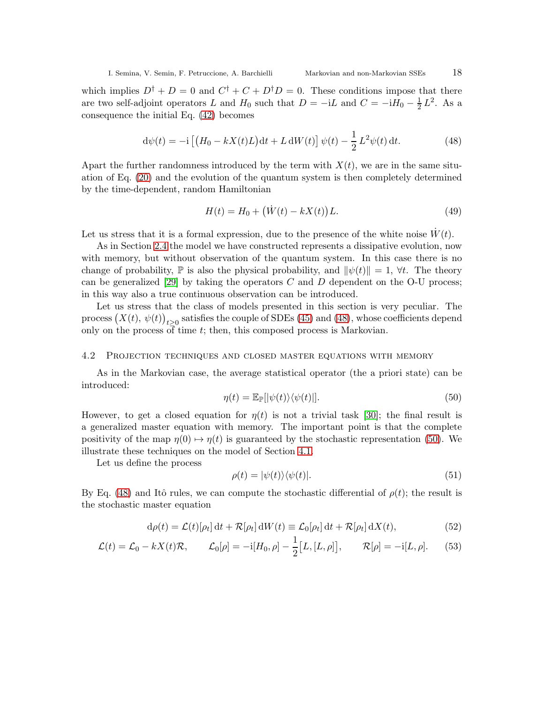which implies  $D^{\dagger} + D = 0$  and  $C^{\dagger} + C + D^{\dagger}D = 0$ . These conditions impose that there are two self-adjoint operators L and  $H_0$  such that  $D = -iL$  and  $C = -iH_0 - \frac{1}{2}$  $\frac{1}{2}L^2$ . As a consequence the initial Eq. [\(42\)](#page-16-0) becomes

<span id="page-17-0"></span>
$$
d\psi(t) = -i \left[ \left( H_0 - kX(t)L \right) dt + L dW(t) \right] \psi(t) - \frac{1}{2} L^2 \psi(t) dt.
$$
 (48)

Apart the further randomness introduced by the term with  $X(t)$ , we are in the same situation of Eq. [\(20\)](#page-7-3) and the evolution of the quantum system is then completely determined by the time-dependent, random Hamiltonian

$$
H(t) = H_0 + (\dot{W}(t) - kX(t))L.
$$
 (49)

Let us stress that it is a formal expression, due to the presence of the white noise  $\dot{W}(t)$ .

As in Section [2.4](#page-7-2) the model we have constructed represents a dissipative evolution, now with memory, but without observation of the quantum system. In this case there is no change of probability,  $\mathbb P$  is also the physical probability, and  $\|\psi(t)\|=1, \forall t$ . The theory can be generalized [\[29\]](#page-26-17) by taking the operators  $C$  and  $D$  dependent on the O-U process; in this way also a true continuous observation can be introduced.

Let us stress that the class of models presented in this section is very peculiar. The process  $(X(t), \psi(t))$  $t\geq 0$  satisfies the couple of SDEs [\(45\)](#page-16-1) and [\(48\)](#page-17-0), whose coefficients depend only on the process of time t; then, this composed process is Markovian.

#### 4.2 Projection techniques and closed master equations with memory

As in the Markovian case, the average statistical operator (the a priori state) can be introduced:

<span id="page-17-1"></span>
$$
\eta(t) = \mathbb{E}_{\mathbb{P}}[|\psi(t)\rangle\langle\psi(t)|].\tag{50}
$$

However, to get a closed equation for  $\eta(t)$  is not a trivial task [\[30\]](#page-26-18); the final result is a generalized master equation with memory. The important point is that the complete positivity of the map  $\eta(0) \mapsto \eta(t)$  is guaranteed by the stochastic representation [\(50\)](#page-17-1). We illustrate these techniques on the model of Section [4.1.](#page-16-2)

Let us define the process

<span id="page-17-2"></span>
$$
\rho(t) = |\psi(t)\rangle\langle\psi(t)|.\tag{51}
$$

By Eq. [\(48\)](#page-17-0) and Itô rules, we can compute the stochastic differential of  $\rho(t)$ ; the result is the stochastic master equation

$$
d\rho(t) = \mathcal{L}(t)[\rho_t] dt + \mathcal{R}[\rho_t] dW(t) \equiv \mathcal{L}_0[\rho_t] dt + \mathcal{R}[\rho_t] dX(t), \qquad (52)
$$

$$
\mathcal{L}(t) = \mathcal{L}_0 - kX(t)\mathcal{R}, \qquad \mathcal{L}_0[\rho] = -i[H_0, \rho] - \frac{1}{2}[L, [L, \rho]], \qquad \mathcal{R}[\rho] = -i[L, \rho]. \qquad (53)
$$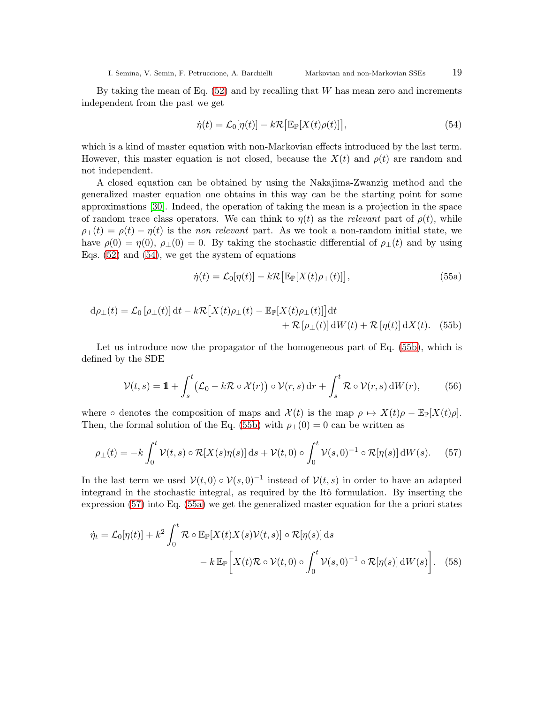By taking the mean of Eq.  $(52)$  and by recalling that W has mean zero and increments independent from the past we get

<span id="page-18-0"></span>
$$
\dot{\eta}(t) = \mathcal{L}_0[\eta(t)] - k\mathcal{R}\big[\mathbb{E}_{\mathbb{P}}[X(t)\rho(t)]\big],\tag{54}
$$

which is a kind of master equation with non-Markovian effects introduced by the last term. However, this master equation is not closed, because the  $X(t)$  and  $\rho(t)$  are random and not independent.

A closed equation can be obtained by using the Nakajima-Zwanzig method and the generalized master equation one obtains in this way can be the starting point for some approximations [\[30\]](#page-26-18). Indeed, the operation of taking the mean is a projection in the space of random trace class operators. We can think to  $\eta(t)$  as the relevant part of  $\rho(t)$ , while  $\rho_{\perp}(t) = \rho(t) - \eta(t)$  is the non relevant part. As we took a non-random initial state, we have  $\rho(0) = \eta(0)$ ,  $\rho_{\perp}(0) = 0$ . By taking the stochastic differential of  $\rho_{\perp}(t)$  and by using Eqs.  $(52)$  and  $(54)$ , we get the system of equations

<span id="page-18-3"></span><span id="page-18-1"></span>
$$
\dot{\eta}(t) = \mathcal{L}_0[\eta(t)] - k\mathcal{R}\big[\mathbb{E}_{\mathbb{P}}[X(t)\rho_{\perp}(t)]\big],\tag{55a}
$$

$$
d\rho_{\perp}(t) = \mathcal{L}_0\left[\rho_{\perp}(t)\right]dt - k\mathcal{R}\left[X(t)\rho_{\perp}(t) - \mathbb{E}_{\mathbb{P}}[X(t)\rho_{\perp}(t)]\right]dt + \mathcal{R}\left[\rho_{\perp}(t)\right]dW(t) + \mathcal{R}\left[\eta(t)\right]dX(t).
$$
 (55b)

Let us introduce now the propagator of the homogeneous part of Eq. [\(55b\)](#page-18-1), which is defined by the SDE

<span id="page-18-5"></span>
$$
\mathcal{V}(t,s) = \mathbf{1} + \int_{s}^{t} \left( \mathcal{L}_0 - k \mathcal{R} \circ \mathcal{X}(r) \right) \circ \mathcal{V}(r,s) \, dr + \int_{s}^{t} \mathcal{R} \circ \mathcal{V}(r,s) \, dW(r), \tag{56}
$$

where ∘ denotes the composition of maps and  $\mathcal{X}(t)$  is the map  $\rho \mapsto X(t)\rho - \mathbb{E}_{\mathbb{P}}[X(t)\rho]$ . Then, the formal solution of the Eq. [\(55b\)](#page-18-1) with  $\rho_1(0) = 0$  can be written as

<span id="page-18-2"></span>
$$
\rho_{\perp}(t) = -k \int_0^t \mathcal{V}(t,s) \circ \mathcal{R}[X(s)\eta(s)] \,ds + \mathcal{V}(t,0) \circ \int_0^t \mathcal{V}(s,0)^{-1} \circ \mathcal{R}[\eta(s)] \,dW(s). \tag{57}
$$

In the last term we used  $\mathcal{V}(t, 0) \circ \mathcal{V}(s, 0)^{-1}$  instead of  $\mathcal{V}(t, s)$  in order to have an adapted integrand in the stochastic integral, as required by the Itô formulation. By inserting the expression [\(57\)](#page-18-2) into Eq. [\(55a\)](#page-18-3) we get the generalized master equation for the a priori states

<span id="page-18-4"></span>
$$
\dot{\eta}_t = \mathcal{L}_0[\eta(t)] + k^2 \int_0^t \mathcal{R} \circ \mathbb{E}_{\mathbb{P}}[X(t)X(s)\mathcal{V}(t,s)] \circ \mathcal{R}[\eta(s)] \, \mathrm{d}s
$$

$$
- k \mathbb{E}_{\mathbb{P}}\bigg[X(t)\mathcal{R} \circ \mathcal{V}(t,0) \circ \int_0^t \mathcal{V}(s,0)^{-1} \circ \mathcal{R}[\eta(s)] \, \mathrm{d}W(s)\bigg]. \tag{58}
$$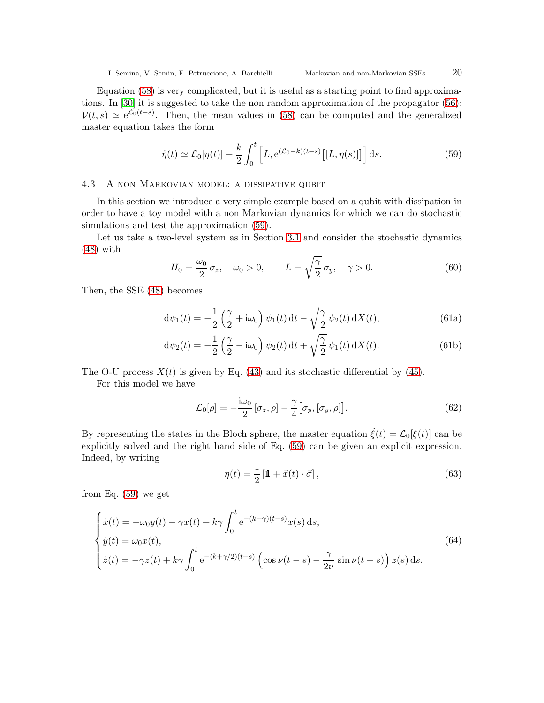Equation [\(58\)](#page-18-4) is very complicated, but it is useful as a starting point to find approximations. In [\[30\]](#page-26-18) it is suggested to take the non random approximation of the propagator [\(56\)](#page-18-5):  $V(t,s) \simeq e^{\mathcal{L}_0(t-s)}$ . Then, the mean values in [\(58\)](#page-18-4) can be computed and the generalized master equation takes the form

<span id="page-19-0"></span>
$$
\dot{\eta}(t) \simeq \mathcal{L}_0[\eta(t)] + \frac{k}{2} \int_0^t \left[ L, e^{(\mathcal{L}_0 - k)(t - s)} \left[ [L, \eta(s)] \right] \right] ds.
$$
 (59)

## 4.3 A non Markovian model: a dissipative qubit

In this section we introduce a very simple example based on a qubit with dissipation in order to have a toy model with a non Markovian dynamics for which we can do stochastic simulations and test the approximation [\(59\)](#page-19-0).

Let us take a two-level system as in Section [3.1](#page-9-1) and consider the stochastic dynamics [\(48\)](#page-17-0) with

<span id="page-19-3"></span>
$$
H_0 = \frac{\omega_0}{2} \sigma_z, \quad \omega_0 > 0, \qquad L = \sqrt{\frac{\gamma}{2}} \sigma_y, \quad \gamma > 0. \tag{60}
$$

Then, the SSE [\(48\)](#page-17-0) becomes

$$
d\psi_1(t) = -\frac{1}{2} \left(\frac{\gamma}{2} + i\omega_0\right) \psi_1(t) dt - \sqrt{\frac{\gamma}{2}} \psi_2(t) dX(t), \qquad (61a)
$$

$$
\mathrm{d}\psi_2(t) = -\frac{1}{2} \left(\frac{\gamma}{2} - \mathrm{i}\omega_0\right) \psi_2(t) \,\mathrm{d}t + \sqrt{\frac{\gamma}{2}} \psi_1(t) \,\mathrm{d}X(t). \tag{61b}
$$

The O-U process  $X(t)$  is given by Eq. [\(43\)](#page-16-3) and its stochastic differential by [\(45\)](#page-16-1).

For this model we have

$$
\mathcal{L}_0[\rho] = -\frac{\mathrm{i}\omega_0}{2} \left[ \sigma_z, \rho \right] - \frac{\gamma}{4} \left[ \sigma_y, \left[ \sigma_y, \rho \right] \right]. \tag{62}
$$

By representing the states in the Bloch sphere, the master equation  $\dot{\xi}(t) = \mathcal{L}_0[\xi(t)]$  can be explicitly solved and the right hand side of Eq. [\(59\)](#page-19-0) can be given an explicit expression. Indeed, by writing

<span id="page-19-1"></span>
$$
\eta(t) = \frac{1}{2} \left[ \mathbf{1} + \vec{x}(t) \cdot \vec{\sigma} \right],\tag{63}
$$

from Eq. [\(59\)](#page-19-0) we get

<span id="page-19-2"></span>
$$
\begin{cases}\n\dot{x}(t) = -\omega_0 y(t) - \gamma x(t) + k\gamma \int_0^t e^{-(k+\gamma)(t-s)} x(s) ds, \\
\dot{y}(t) = \omega_0 x(t), \\
\dot{z}(t) = -\gamma z(t) + k\gamma \int_0^t e^{-(k+\gamma/2)(t-s)} \left(\cos \nu (t-s) - \frac{\gamma}{2\nu} \sin \nu (t-s)\right) z(s) ds.\n\end{cases}
$$
\n(64)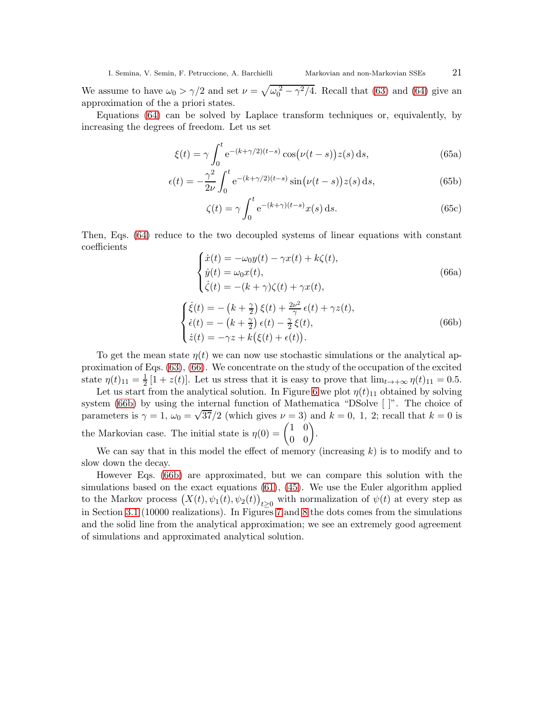We assume to have  $\omega_0 > \gamma/2$  and set  $\nu = \sqrt{\omega_0^2 - \gamma^2/4}$ . Recall that [\(63\)](#page-19-1) and [\(64\)](#page-19-2) give an approximation of the a priori states.

Equations [\(64\)](#page-19-2) can be solved by Laplace transform techniques or, equivalently, by increasing the degrees of freedom. Let us set

$$
\xi(t) = \gamma \int_0^t e^{-(k+\gamma/2)(t-s)} \cos(\nu(t-s))z(s) \,ds,\tag{65a}
$$

$$
\epsilon(t) = -\frac{\gamma^2}{2\nu} \int_0^t e^{-(k+\gamma/2)(t-s)} \sin(\nu(t-s))z(s) ds,
$$
\n(65b)

$$
\zeta(t) = \gamma \int_0^t e^{-(k+\gamma)(t-s)} x(s) \, \mathrm{d}s. \tag{65c}
$$

<span id="page-20-0"></span>Then, Eqs. [\(64\)](#page-19-2) reduce to the two decoupled systems of linear equations with constant coefficients

$$
\begin{cases}\n\dot{x}(t) = -\omega_0 y(t) - \gamma x(t) + k\zeta(t), \\
\dot{y}(t) = \omega_0 x(t), \\
\dot{\zeta}(t) = -(k+\gamma)\zeta(t) + \gamma x(t),\n\end{cases}
$$
\n(66a)

<span id="page-20-1"></span>
$$
\begin{cases}\n\dot{\xi}(t) = -\left(k + \frac{\gamma}{2}\right)\xi(t) + \frac{2\nu^2}{\gamma}\,\epsilon(t) + \gamma z(t), \\
\dot{\epsilon}(t) = -\left(k + \frac{\gamma}{2}\right)\epsilon(t) - \frac{\gamma}{2}\,\xi(t), \\
\dot{z}(t) = -\gamma z + k\big(\xi(t) + \epsilon(t)\big).\n\end{cases} \tag{66b}
$$

To get the mean state  $\eta(t)$  we can now use stochastic simulations or the analytical approximation of Eqs. [\(63\)](#page-19-1), [\(66\)](#page-20-0). We concentrate on the study of the occupation of the excited state  $\eta(t)_{11} = \frac{1}{2}$  $\frac{1}{2}[1+z(t)]$ . Let us stress that it is easy to prove that  $\lim_{t\to+\infty}\eta(t)_{11}=0.5$ .

Let us start from the analytical solution. In Figure [6](#page-21-1) we plot  $\eta(t)_{11}$  obtained by solving system [\(66b\)](#page-20-1) by using the internal function of Mathematica "DSolve [ ]". The choice of parameters is  $\gamma = 1$ ,  $\omega_0 = \sqrt{37}/2$  (which gives  $\nu = 3$ ) and  $k = 0$ , 1, 2; recall that  $k = 0$  is the Markovian case. The initial state is  $\eta(0) = \begin{pmatrix} 1 & 0 \\ 0 & 0 \end{pmatrix}$ .

We can say that in this model the effect of memory (increasing  $k$ ) is to modify and to slow down the decay.

However Eqs. [\(66b\)](#page-20-1) are approximated, but we can compare this solution with the simulations based on the exact equations  $(61)$ ,  $(45)$ . We use the Euler algorithm applied to the Markov process  $(X(t), \psi_1(t), \psi_2(t))$  $t \geq 0$  with normalization of  $\psi(t)$  at every step as in Section [3.1](#page-9-1) (10000 realizations). In Figures [7](#page-21-2) and [8](#page-22-0) the dots comes from the simulations and the solid line from the analytical approximation; we see an extremely good agreement of simulations and approximated analytical solution.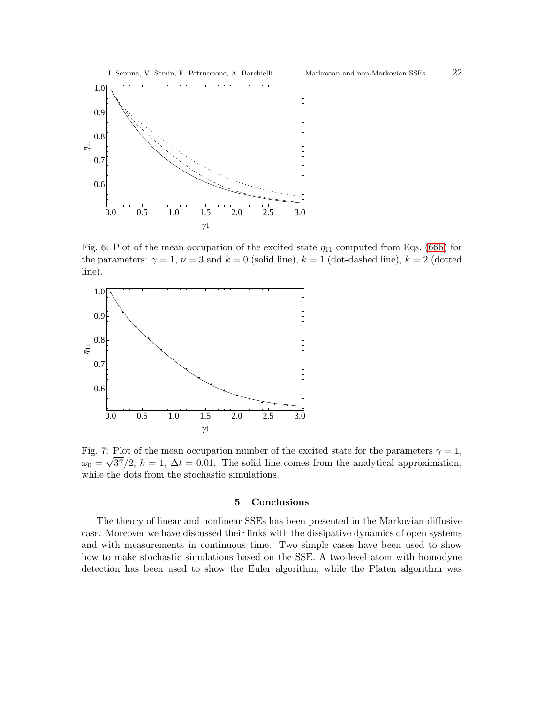

<span id="page-21-1"></span>Fig. 6: Plot of the mean occupation of the excited state  $\eta_{11}$  computed from Eqs. [\(66b\)](#page-20-1) for the parameters:  $\gamma = 1$ ,  $\nu = 3$  and  $k = 0$  (solid line),  $k = 1$  (dot-dashed line),  $k = 2$  (dotted line).



<span id="page-21-2"></span>Fig. 7: Plot of the mean occupation number of the excited state for the parameters  $\gamma = 1$ ,  $\omega_0 = \sqrt{37}/2$ ,  $k = 1$ ,  $\Delta t = 0.01$ . The solid line comes from the analytical approximation, while the dots from the stochastic simulations.

# 5 Conclusions

<span id="page-21-0"></span>The theory of linear and nonlinear SSEs has been presented in the Markovian diffusive case. Moreover we have discussed their links with the dissipative dynamics of open systems and with measurements in continuous time. Two simple cases have been used to show how to make stochastic simulations based on the SSE. A two-level atom with homodyne detection has been used to show the Euler algorithm, while the Platen algorithm was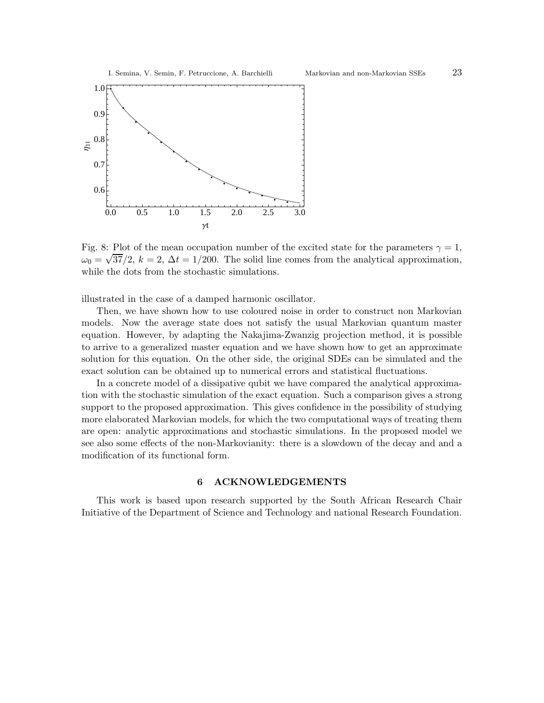

<span id="page-22-0"></span>Fig. 8: Plot of the mean occupation number of the excited state for the parameters  $\gamma = 1$ ,  $\omega_0 = \sqrt{37}/2$ ,  $k = 2$ ,  $\Delta t = 1/200$ . The solid line comes from the analytical approximation, while the dots from the stochastic simulations.

illustrated in the case of a damped harmonic oscillator.

Then, we have shown how to use coloured noise in order to construct non Markovian models. Now the average state does not satisfy the usual Markovian quantum master equation. However, by adapting the Nakajima-Zwanzig projection method, it is possible to arrive to a generalized master equation and we have shown how to get an approximate solution for this equation. On the other side, the original SDEs can be simulated and the exact solution can be obtained up to numerical errors and statistical fluctuations.

In a concrete model of a dissipative qubit we have compared the analytical approximation with the stochastic simulation of the exact equation. Such a comparison gives a strong support to the proposed approximation. This gives confidence in the possibility of studying more elaborated Markovian models, for which the two computational ways of treating them are open: analytic approximations and stochastic simulations. In the proposed model we see also some effects of the non-Markovianity: there is a slowdown of the decay and and a modification of its functional form.

# 6 ACKNOWLEDGEMENTS

This work is based upon research supported by the South African Research Chair Initiative of the Department of Science and Technology and national Research Foundation.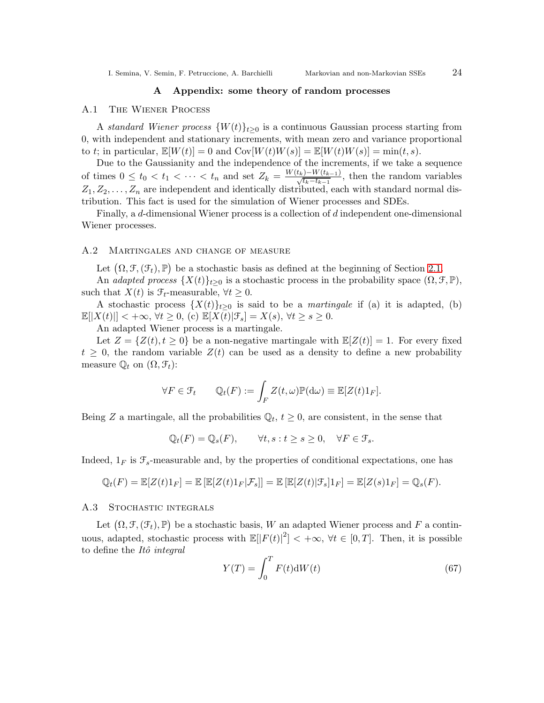# A Appendix: some theory of random processes

## <span id="page-23-1"></span><span id="page-23-0"></span>A.1 The Wiener Process

A standard Wiener process  $\{W(t)\}_{t>0}$  is a continuous Gaussian process starting from 0, with independent and stationary increments, with mean zero and variance proportional to t; in particular,  $\mathbb{E}[W(t)] = 0$  and  $Cov[W(t)W(s)] = \mathbb{E}[W(t)W(s)] = min(t, s)$ .

Due to the Gaussianity and the independence of the increments, if we take a sequence of times  $0 \le t_0 < t_1 < \cdots < t_n$  and set  $Z_k = \frac{W(t_k)-W(t_{k-1})}{\sqrt{t_k-t_{k-1}}}$ , then the random variables  $Z_1, Z_2, \ldots, Z_n$  are independent and identically distributed, each with standard normal distribution. This fact is used for the simulation of Wiener processes and SDEs.

Finally, a d-dimensional Wiener process is a collection of d independent one-dimensional Wiener processes.

## <span id="page-23-3"></span>A.2 Martingales and change of measure

Let  $(\Omega, \mathcal{F}, (\mathcal{F}_t), \mathbb{P})$  be a stochastic basis as defined at the beginning of Section [2.1.](#page-3-2)

An adapted process  $\{X(t)\}_{t>0}$  is a stochastic process in the probability space  $(\Omega, \mathcal{F}, \mathbb{P}),$ such that  $X(t)$  is  $\mathcal{F}_t$ -measurable,  $\forall t \geq 0$ .

A stochastic process  $\{X(t)\}_{t>0}$  is said to be a *martingale* if (a) it is adapted, (b)  $\mathbb{E}[|X(t)|] < +\infty, \forall t \geq 0$ , (c)  $\mathbb{E}[X(t)|\mathcal{F}_s] = X(s), \forall t \geq s \geq 0$ .

An adapted Wiener process is a martingale.

Let  $Z = \{Z(t), t \geq 0\}$  be a non-negative martingale with  $\mathbb{E}[Z(t)] = 1$ . For every fixed  $t \geq 0$ , the random variable  $Z(t)$  can be used as a density to define a new probability measure  $\mathbb{Q}_t$  on  $(\Omega, \mathcal{F}_t)$ :

$$
\forall F \in \mathcal{F}_t \qquad \mathbb{Q}_t(F) := \int_F Z(t,\omega) \mathbb{P}(\mathrm{d}\omega) \equiv \mathbb{E}[Z(t)1_F].
$$

Being Z a martingale, all the probabilities  $\mathbb{Q}_t$ ,  $t \geq 0$ , are consistent, in the sense that

$$
\mathbb{Q}_t(F) = \mathbb{Q}_s(F), \qquad \forall t, s : t \ge s \ge 0, \quad \forall F \in \mathcal{F}_s.
$$

Indeed,  $1_F$  is  $\mathcal{F}_s$ -measurable and, by the properties of conditional expectations, one has

$$
\mathbb{Q}_t(F) = \mathbb{E}[Z(t)1_F] = \mathbb{E}[\mathbb{E}[Z(t)1_F|\mathcal{F}_s]] = \mathbb{E}[\mathbb{E}[Z(t)|\mathcal{F}_s]1_F] = \mathbb{E}[Z(s)1_F] = \mathbb{Q}_s(F).
$$

## <span id="page-23-2"></span>A.3 Stochastic integrals

Let  $(\Omega, \mathcal{F}, (\mathcal{F}_t), \mathbb{P})$  be a stochastic basis, W an adapted Wiener process and F a continuous, adapted, stochastic process with  $\mathbb{E}[|F(t)|^2] < +\infty$ ,  $\forall t \in [0, T]$ . Then, it is possible to define the Itô integral

$$
Y(T) = \int_0^T F(t) \mathrm{d}W(t) \tag{67}
$$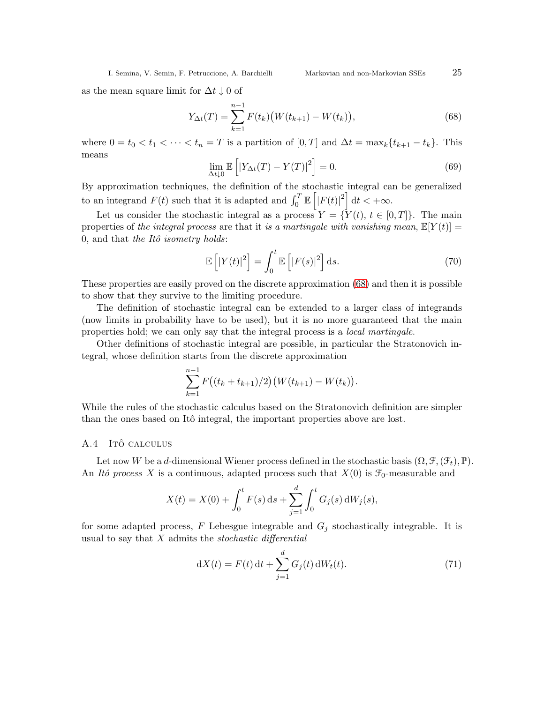as the mean square limit for  $\Delta t \downarrow 0$  of

<span id="page-24-1"></span>
$$
Y_{\Delta t}(T) = \sum_{k=1}^{n-1} F(t_k) \big( W(t_{k+1}) - W(t_k) \big), \tag{68}
$$

where  $0 = t_0 < t_1 < \cdots < t_n = T$  is a partition of  $[0, T]$  and  $\Delta t = \max_k \{t_{k+1} - t_k\}$ . This means

$$
\lim_{\Delta t \downarrow 0} \mathbb{E}\left[ |Y_{\Delta t}(T) - Y(T)|^2 \right] = 0. \tag{69}
$$

By approximation techniques, the definition of the stochastic integral can be generalized to an integrand  $F(t)$  such that it is adapted and  $\int_0^T \mathbb{E} \left[ |F(t)|^2 \right] dt < +\infty$ .

Let us consider the stochastic integral as a process  $Y = \{Y(t), t \in [0,T]\}\$ . The main properties of the integral process are that it is a martingale with vanishing mean,  $\mathbb{E}[Y(t)] =$ 0, and that the Itô isometry holds:

$$
\mathbb{E}\left[\left|Y(t)\right|^2\right] = \int_0^t \mathbb{E}\left[\left|F(s)\right|^2\right] \mathrm{d}s. \tag{70}
$$

These properties are easily proved on the discrete approximation [\(68\)](#page-24-1) and then it is possible to show that they survive to the limiting procedure.

The definition of stochastic integral can be extended to a larger class of integrands (now limits in probability have to be used), but it is no more guaranteed that the main properties hold; we can only say that the integral process is a local martingale.

Other definitions of stochastic integral are possible, in particular the Stratonovich integral, whose definition starts from the discrete approximation

$$
\sum_{k=1}^{n-1} F\big((t_k + t_{k+1})/2\big)\big(W(t_{k+1}) - W(t_k)\big).
$$

While the rules of the stochastic calculus based on the Stratonovich definition are simpler than the ones based on Itô integral, the important properties above are lost.

# <span id="page-24-0"></span>A.4 ITÔ CALCULUS

Let now W be a d-dimensional Wiener process defined in the stochastic basis  $(\Omega, \mathcal{F}, (\mathcal{F}_t), \mathbb{P})$ . An Itô process X is a continuous, adapted process such that  $X(0)$  is  $\mathcal{F}_0$ -measurable and

$$
X(t) = X(0) + \int_0^t F(s) \, ds + \sum_{j=1}^d \int_0^t G_j(s) \, dW_j(s),
$$

for some adapted process, F Lebesgue integrable and  $G_j$  stochastically integrable. It is usual to say that  $X$  admits the *stochastic differential* 

<span id="page-24-2"></span>
$$
dX(t) = F(t) dt + \sum_{j=1}^{d} G_j(t) dW_t(t).
$$
 (71)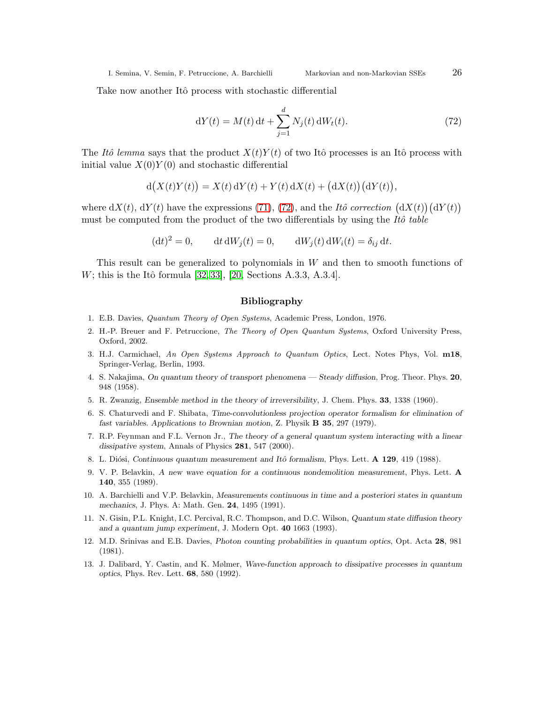Take now another Itô process with stochastic differential

<span id="page-25-11"></span>
$$
dY(t) = M(t) dt + \sum_{j=1}^{d} N_j(t) dW_t(t).
$$
 (72)

The Itô lemma says that the product  $X(t)Y(t)$  of two Itô processes is an Itô process with initial value  $X(0)Y(0)$  and stochastic differential

$$
d(X(t)Y(t)) = X(t) dY(t) + Y(t) dX(t) + (dX(t))(dY(t)),
$$

where  $dX(t)$ ,  $dY(t)$  have the expressions [\(71\)](#page-24-2), [\(72\)](#page-25-11), and the Itô correction  $(dX(t))(dY(t))$ must be computed from the product of the two differentials by using the  $It\hat{o}$  table

$$
(\mathrm{d}t)^2 = 0, \qquad \mathrm{d}t \, \mathrm{d}W_j(t) = 0, \qquad \mathrm{d}W_j(t) \, \mathrm{d}W_i(t) = \delta_{ij} \, \mathrm{d}t.
$$

This result can be generalized to polynomials in W and then to smooth functions of  $W$ ; this is the Itô formula [\[32,](#page-26-12) [33\]](#page-26-13), [\[20,](#page-26-4) Sections A.3.3, A.3.4].

## Bibliography

- <span id="page-25-10"></span><span id="page-25-0"></span>1. E.B. Davies, Quantum Theory of Open Systems, Academic Press, London, 1976.
- 2. H.-P. Breuer and F. Petruccione, The Theory of Open Quantum Systems, Oxford University Press, Oxford, 2002.
- <span id="page-25-1"></span>3. H.J. Carmichael, An Open Systems Approach to Quantum Optics, Lect. Notes Phys, Vol. m18, Springer-Verlag, Berlin, 1993.
- <span id="page-25-2"></span>4. S. Nakajima, On quantum theory of transport phenomena — Steady diffusion, Prog. Theor. Phys. 20, 948 (1958).
- <span id="page-25-3"></span>5. R. Zwanzig, Ensemble method in the theory of irreversibility, J. Chem. Phys. 33, 1338 (1960).
- 6. S. Chaturvedi and F. Shibata, Time-convolutionless projection operator formalism for elimination of fast variables. Applications to Brownian motion, Z. Physik B 35, 297 (1979).
- <span id="page-25-4"></span>7. R.P. Feynman and F.L. Vernon Jr., The theory of a general quantum system interacting with a linear dissipative system, Annals of Physics 281, 547 (2000).
- <span id="page-25-5"></span>8. L. Diósi, Continuous quantum measurement and Itô formalism, Phys. Lett. A 129, 419 (1988).
- 9. V. P. Belavkin, A new wave equation for a continuous nondemolition measurement, Phys. Lett. A 140, 355 (1989).
- <span id="page-25-7"></span>10. A. Barchielli and V.P. Belavkin, Measurements continuous in time and a posteriori states in quantum mechanics, J. Phys. A: Math. Gen. 24, 1495 (1991).
- <span id="page-25-6"></span>11. N. Gisin, P.L. Knight, I.C. Percival, R.C. Thompson, and D.C. Wilson, Quantum state diffusion theory and a quantum jump experiment, J. Modern Opt. 40 1663 (1993).
- <span id="page-25-8"></span>12. M.D. Srinivas and E.B. Davies, Photon counting probabilities in quantum optics, Opt. Acta 28, 981 (1981).
- <span id="page-25-9"></span>13. J. Dalibard, Y. Castin, and K. Mølmer, Wave-function approach to dissipative processes in quantum optics, Phys. Rev. Lett. 68, 580 (1992).